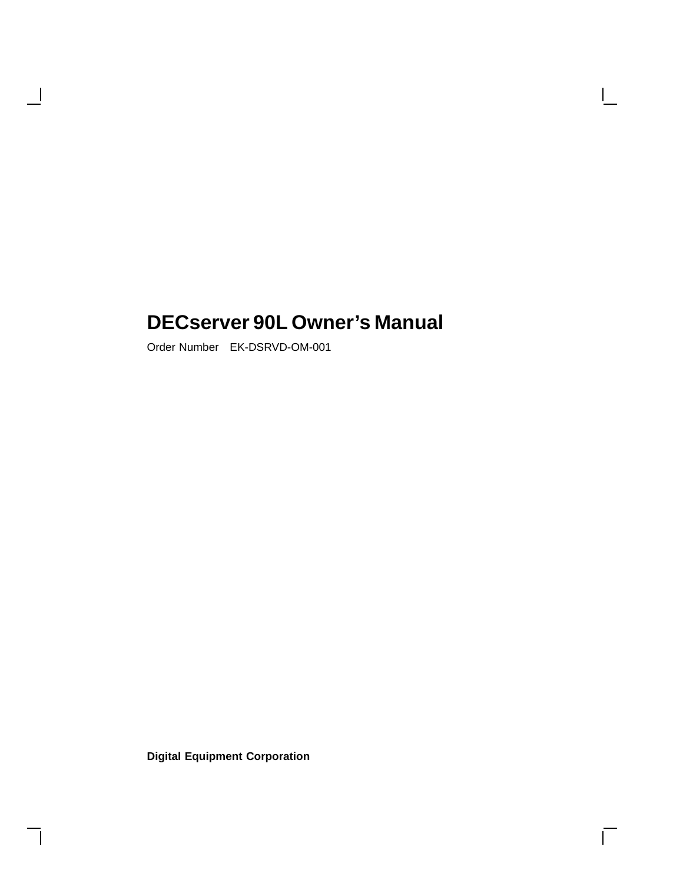## **DECserver 90L Owner's Manual**

 $\mathbf{I}$ 

 $\overline{\Gamma}$ 

Order Number EK-DSRVD-OM-001

 $\blacksquare$ 

**Digital Equipment Corporation**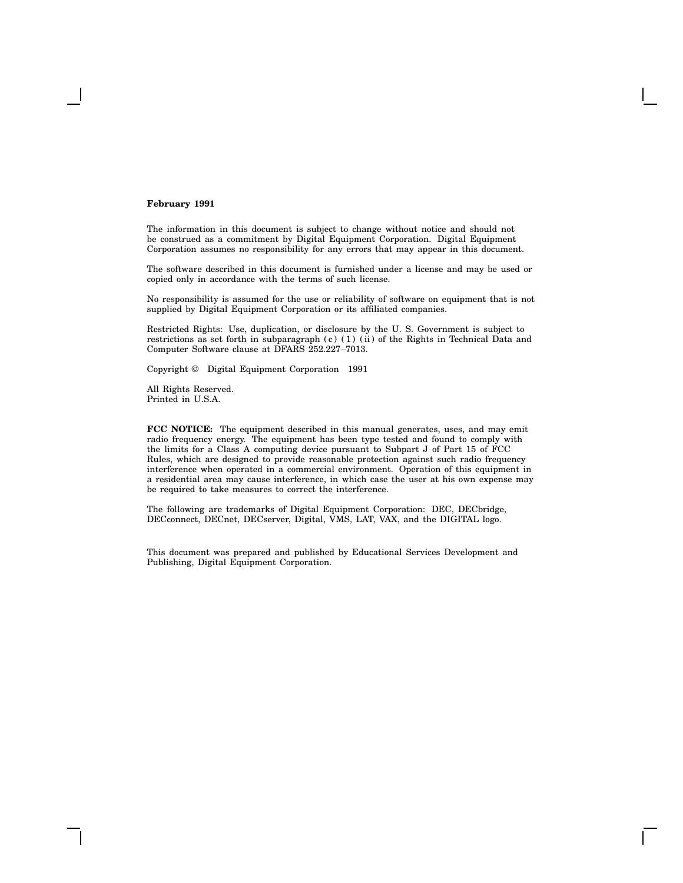#### **February 1991**

The information in this document is subject to change without notice and should not be construed as a commitment by Digital Equipment Corporation. Digital Equipment Corporation assumes no responsibility for any errors that may appear in this document.

The software described in this document is furnished under a license and may be used or copied only in accordance with the terms of such license.

No responsibility is assumed for the use or reliability of software on equipment that is not supplied by Digital Equipment Corporation or its affiliated companies.

Restricted Rights: Use, duplication, or disclosure by the U. S. Government is subject to restrictions as set forth in subparagraph (c) (1) (ii) of the Rights in Technical Data and Computer Software clause at DFARS 252.227–7013.

Copyright © Digital Equipment Corporation 1991

All Rights Reserved. Printed in U.S.A.

**FCC NOTICE:** The equipment described in this manual generates, uses, and may emit radio frequency energy. The equipment has been type tested and found to comply with the limits for a Class A computing device pursuant to Subpart J of Part 15 of FCC Rules, which are designed to provide reasonable protection against such radio frequency interference when operated in a commercial environment. Operation of this equipment in a residential area may cause interference, in which case the user at his own expense may be required to take measures to correct the interference.

The following are trademarks of Digital Equipment Corporation: DEC, DECbridge, DECconnect, DECnet, DECserver, Digital, VMS, LAT, VAX, and the DIGITAL logo.

This document was prepared and published by Educational Services Development and Publishing, Digital Equipment Corporation.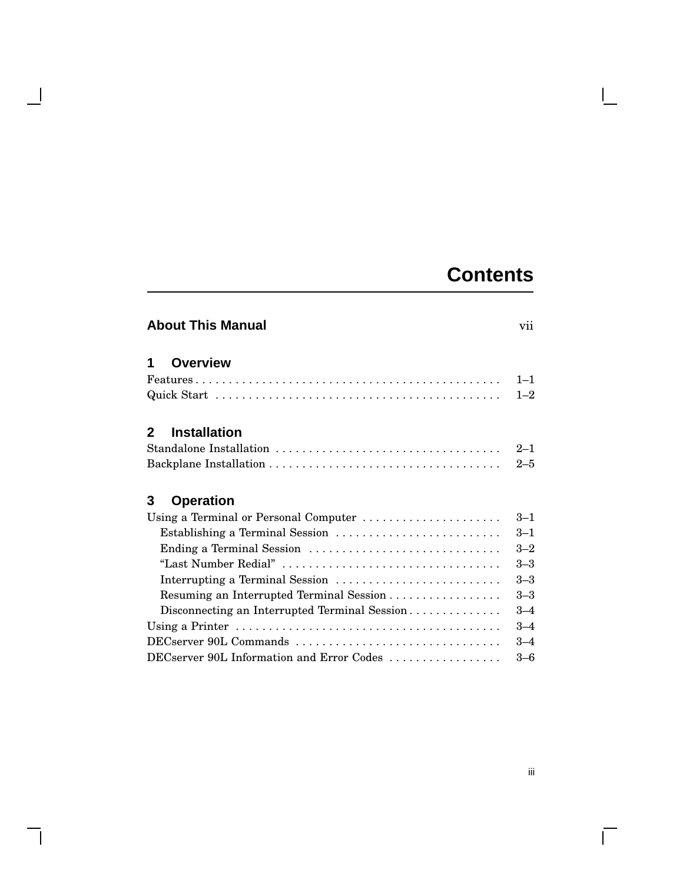# **Contents**

 $\mathbf{I}$ 

|              | <b>About This Manual</b>                                                                       |         |
|--------------|------------------------------------------------------------------------------------------------|---------|
| 1            | <b>Overview</b>                                                                                |         |
|              |                                                                                                | $1 - 1$ |
|              |                                                                                                | $1 - 2$ |
| $\mathbf{2}$ | <b>Installation</b>                                                                            |         |
|              |                                                                                                | $2 - 1$ |
|              |                                                                                                | $2 - 5$ |
| 3            | <b>Operation</b>                                                                               |         |
|              | Using a Terminal or Personal Computer $\ldots \ldots \ldots \ldots \ldots \ldots$              | $3 - 1$ |
|              | Establishing a Terminal Session                                                                | $3 - 1$ |
|              | Ending a Terminal Session                                                                      | $3 - 2$ |
|              |                                                                                                | $3 - 3$ |
|              | Interrupting a Terminal Session                                                                | $3 - 3$ |
|              | Resuming an Interrupted Terminal Session                                                       | $3 - 3$ |
|              | Disconnecting an Interrupted Terminal Session                                                  | $3 - 4$ |
|              | Using a Printer $\ldots \ldots \ldots \ldots \ldots \ldots \ldots \ldots \ldots \ldots \ldots$ | $3 - 4$ |
|              | DECserver 90L Commands                                                                         | $3 - 4$ |
|              | DECserver 90L Information and Error Codes                                                      | $3 - 6$ |

 $\mathbf{I}$ 

 $\overline{\Gamma}$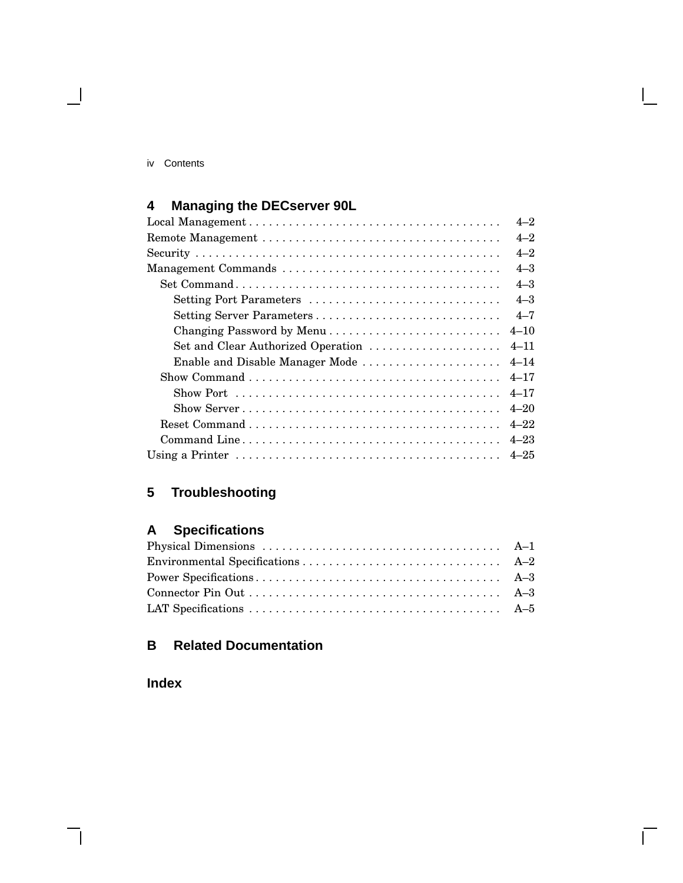#### iv Contents

 $\overline{\phantom{a}}$ 

## **4 Managing the DECserver 90L**

|                                                                                         | $4 - 2$  |
|-----------------------------------------------------------------------------------------|----------|
|                                                                                         | $4 - 2$  |
|                                                                                         | $4 - 2$  |
| Management Commands                                                                     | $4 - 3$  |
|                                                                                         | $4 - 3$  |
| Setting Port Parameters                                                                 | $4 - 3$  |
| Setting Server Parameters                                                               | $4 - 7$  |
|                                                                                         | $4 - 10$ |
| Set and Clear Authorized Operation                                                      | $4 - 11$ |
| Enable and Disable Manager Mode                                                         | $4 - 14$ |
|                                                                                         | $4 - 17$ |
| Show Port $\dots\dots\dots\dots\dots\dots\dots\dots\dots\dots\dots\dots\dots\dots\dots$ | $4 - 17$ |
|                                                                                         | $4 - 20$ |
|                                                                                         | $4 - 22$ |
|                                                                                         | $4 - 23$ |
|                                                                                         |          |

## **5 Troubleshooting**

## **A Specifications**

 $\bar{\Gamma}$ 

## **B Related Documentation**

**Index**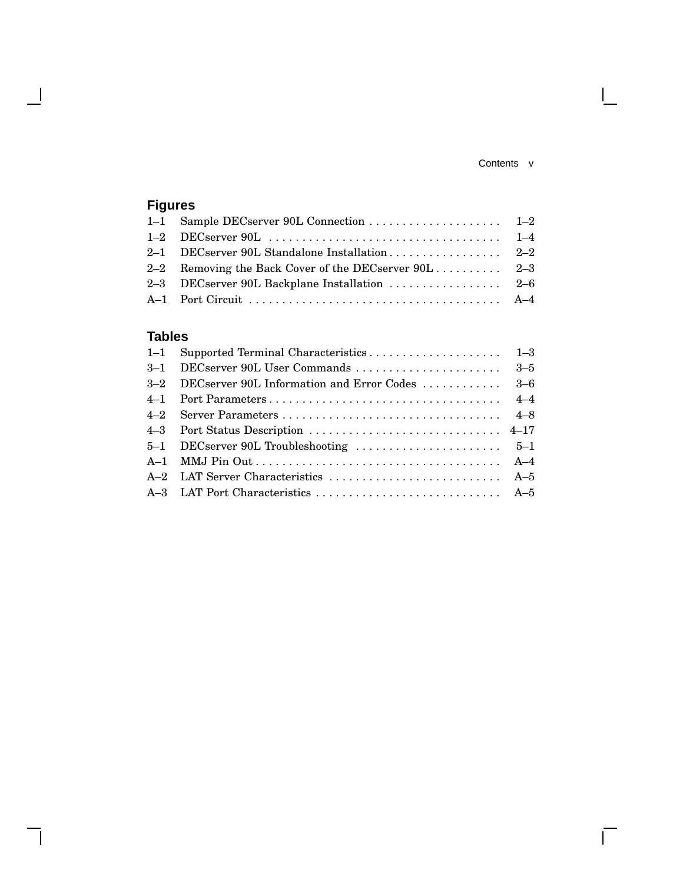#### Contents v

 $\mathbf{I}$ 

 $\overline{\Gamma}$ 

## **Figures**

 $\overline{\phantom{a}}$ 

 $\mathbf{I}$ 

| 2–1 DECserver 90L Standalone Installation 2–2 |  |
|-----------------------------------------------|--|
|                                               |  |
|                                               |  |
|                                               |  |

## **Tables**

| 3-2 DECserver 90L Information and Error Codes  3-6 |  |
|----------------------------------------------------|--|
|                                                    |  |
|                                                    |  |
|                                                    |  |
|                                                    |  |
|                                                    |  |
|                                                    |  |
|                                                    |  |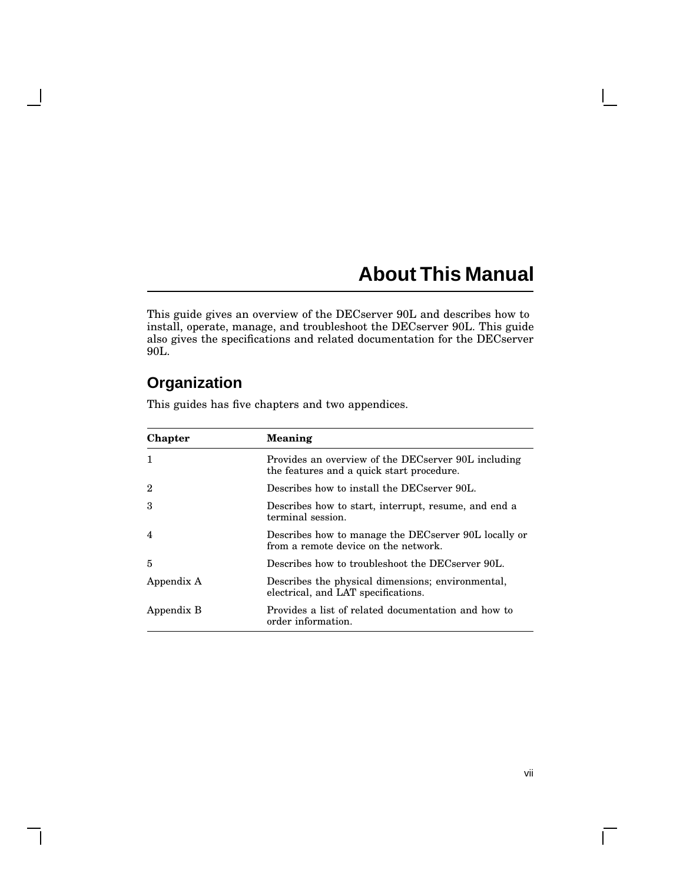# **About This Manual**

This guide gives an overview of the DECserver 90L and describes how to install, operate, manage, and troubleshoot the DECserver 90L. This guide also gives the specifications and related documentation for the DECserver 90L.

## **Organization**

 $\blacksquare$ 

 $\mathsf{l}$ 

| Chapter        | Meaning                                                                                          |
|----------------|--------------------------------------------------------------------------------------------------|
| $\mathbf{1}$   | Provides an overview of the DECserver 90L including<br>the features and a quick start procedure. |
| 2              | Describes how to install the DECserver 90L.                                                      |
| 3              | Describes how to start, interrupt, resume, and end a<br>terminal session.                        |
| $\overline{4}$ | Describes how to manage the DECserver 90L locally or<br>from a remote device on the network.     |
| 5              | Describes how to troubleshoot the DECserver 90L                                                  |
| Appendix A     | Describes the physical dimensions; environmental,<br>electrical, and LAT specifications.         |
| Appendix B     | Provides a list of related documentation and how to<br>order information.                        |

This guides has five chapters and two appendices.

 $\overline{\Gamma}$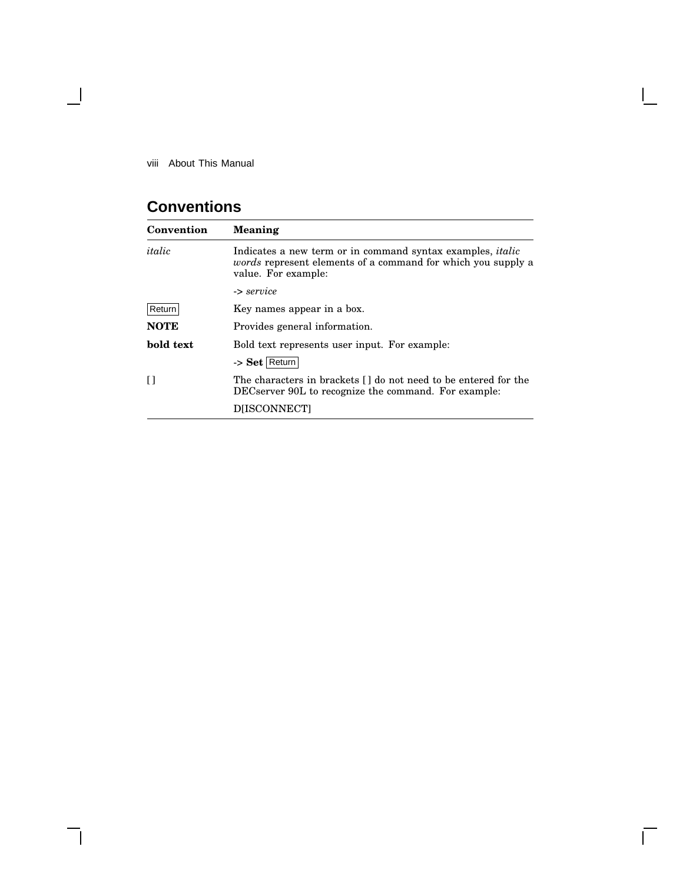viii About This Manual

 $\overline{\phantom{a}}$ 

## **Conventions**

| Convention  | Meaning                                                                                                                                                         |  |  |  |
|-------------|-----------------------------------------------------------------------------------------------------------------------------------------------------------------|--|--|--|
| italic      | Indicates a new term or in command syntax examples, <i>italic</i><br><i>words</i> represent elements of a command for which you supply a<br>value. For example: |  |  |  |
|             | -> service                                                                                                                                                      |  |  |  |
| Return      | Key names appear in a box.                                                                                                                                      |  |  |  |
| <b>NOTE</b> | Provides general information.                                                                                                                                   |  |  |  |
| bold text   | Bold text represents user input. For example:                                                                                                                   |  |  |  |
|             | -> Set Return                                                                                                                                                   |  |  |  |
| $\Box$      | The characters in brackets [] do not need to be entered for the<br>DECserver 90L to recognize the command. For example:                                         |  |  |  |
|             | <b>DIISCONNECTI</b>                                                                                                                                             |  |  |  |

 $\mathbf{I}$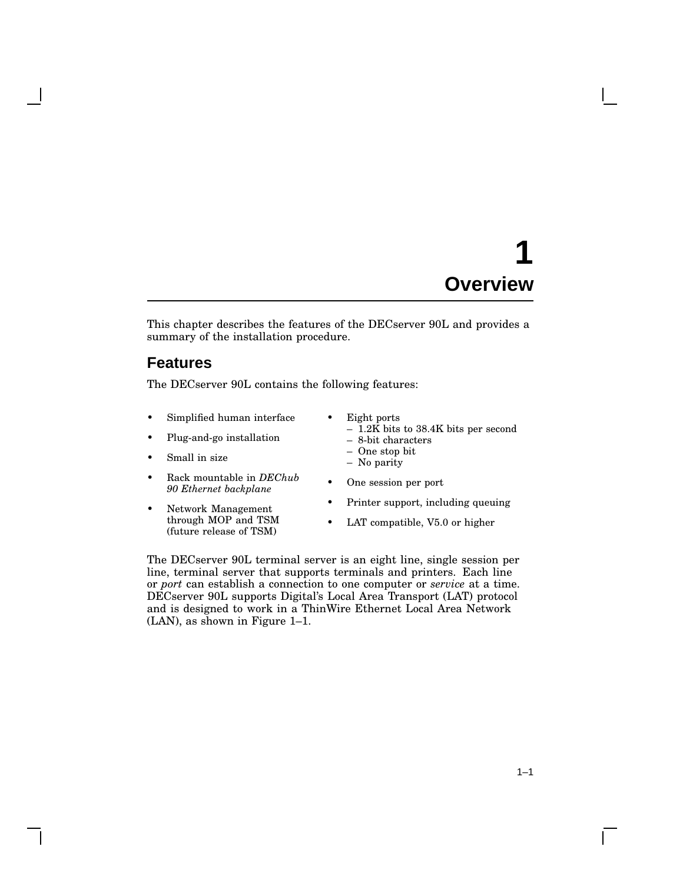# **1 Overview**

This chapter describes the features of the DECserver 90L and provides a summary of the installation procedure.

## **Features**

The DECserver 90L contains the following features:

- Simplified human interface
- Plug-and-go installation
- Small in size
- Rack mountable in *DEChub 90 Ethernet backplane*
- Network Management through MOP and TSM (future release of TSM)
- Eight ports
	- $-$  1.2K bits to 38.4K bits per second
	- 8-bit characters
	- One stop bit – No parity
	-
- One session per port
- Printer support, including queuing
- LAT compatible, V5.0 or higher

The DECserver 90L terminal server is an eight line, single session per line, terminal server that supports terminals and printers. Each line or *port* can establish a connection to one computer or *service* at a time. DECserver 90L supports Digital's Local Area Transport (LAT) protocol and is designed to work in a ThinWire Ethernet Local Area Network (LAN), as shown in Figure 1–1.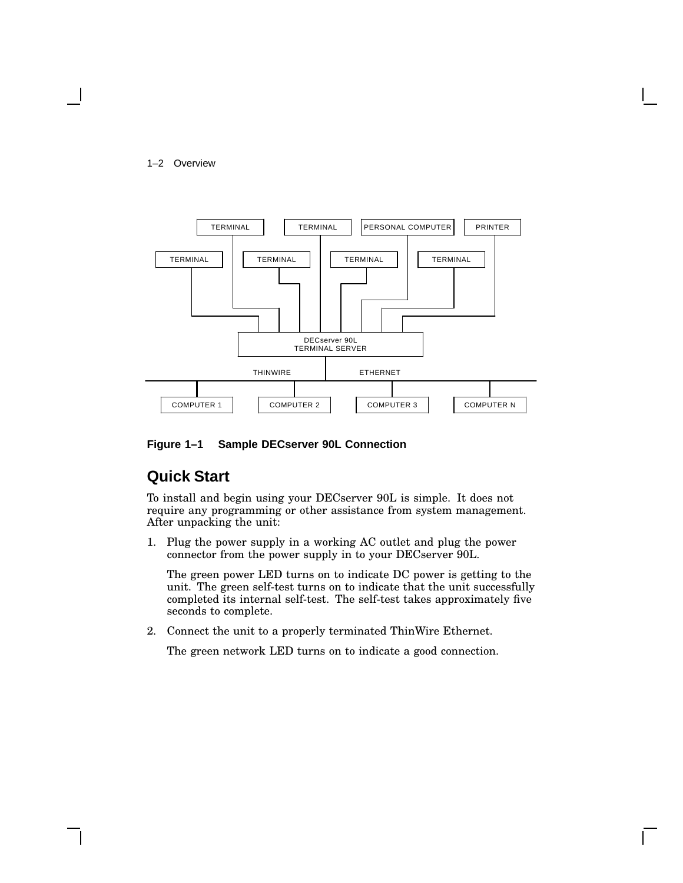#### 1–2 Overview



**Figure 1–1 Sample DECserver 90L Connection**

## **Quick Start**

To install and begin using your DECserver 90L is simple. It does not require any programming or other assistance from system management. After unpacking the unit:

1. Plug the power supply in a working AC outlet and plug the power connector from the power supply in to your DECserver 90L.

The green power LED turns on to indicate DC power is getting to the unit. The green self-test turns on to indicate that the unit successfully completed its internal self-test. The self-test takes approximately five seconds to complete.

2. Connect the unit to a properly terminated ThinWire Ethernet.

The green network LED turns on to indicate a good connection.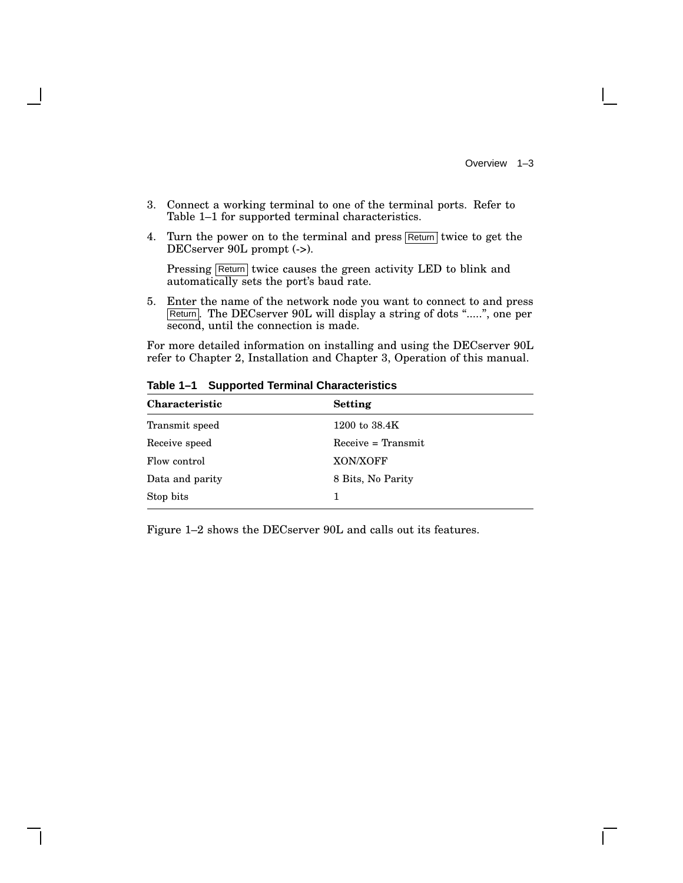- 3. Connect a working terminal to one of the terminal ports. Refer to Table 1–1 for supported terminal characteristics.
- 4. Turn the power on to the terminal and press  $\sqrt{\text{Return}}$  twice to get the DECserver 90L prompt  $(\rightarrow)$ .

Pressing Return twice causes the green activity LED to blink and automatically sets the port's baud rate.

5. Enter the name of the network node you want to connect to and press Return. The DECserver 90L will display a string of dots ".....", one per second, until the connection is made.

For more detailed information on installing and using the DECserver 90L refer to Chapter 2, Installation and Chapter 3, Operation of this manual.

| <b>Characteristic</b> | Setting              |  |
|-----------------------|----------------------|--|
| Transmit speed        | 1200 to $38.4K$      |  |
| Receive speed         | $Receive = Transmit$ |  |
| Flow control          | XON/XOFF             |  |
| Data and parity       | 8 Bits, No Parity    |  |
| Stop bits             |                      |  |

**Table 1–1 Supported Terminal Characteristics**

Figure 1–2 shows the DECserver 90L and calls out its features.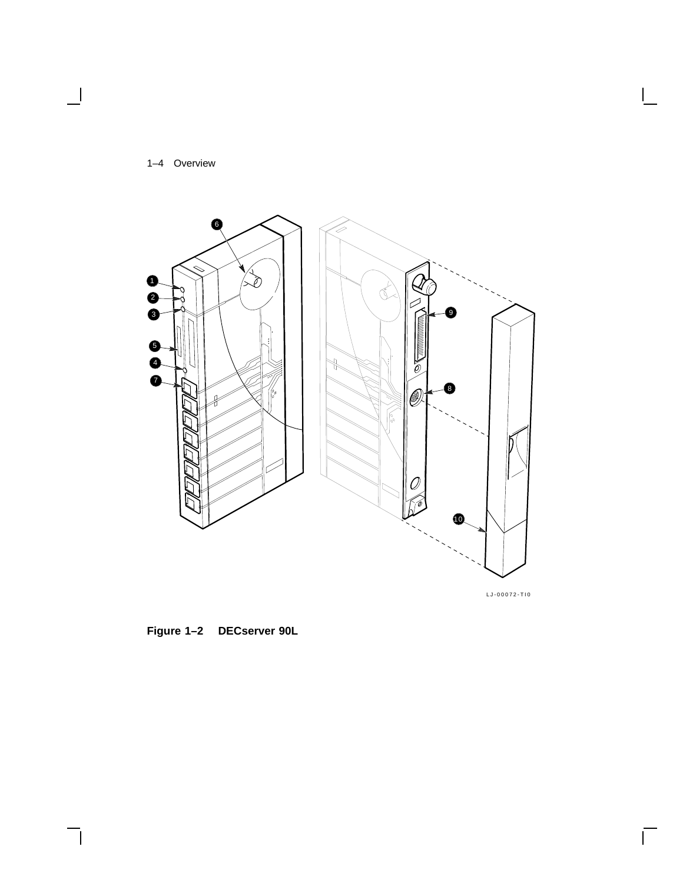

 $\blacksquare$ 



LJ-00072-TI0

 $\mathsf{I}$ 

 $\bar{\Gamma}$ 

**Figure 1–2 DECserver 90L**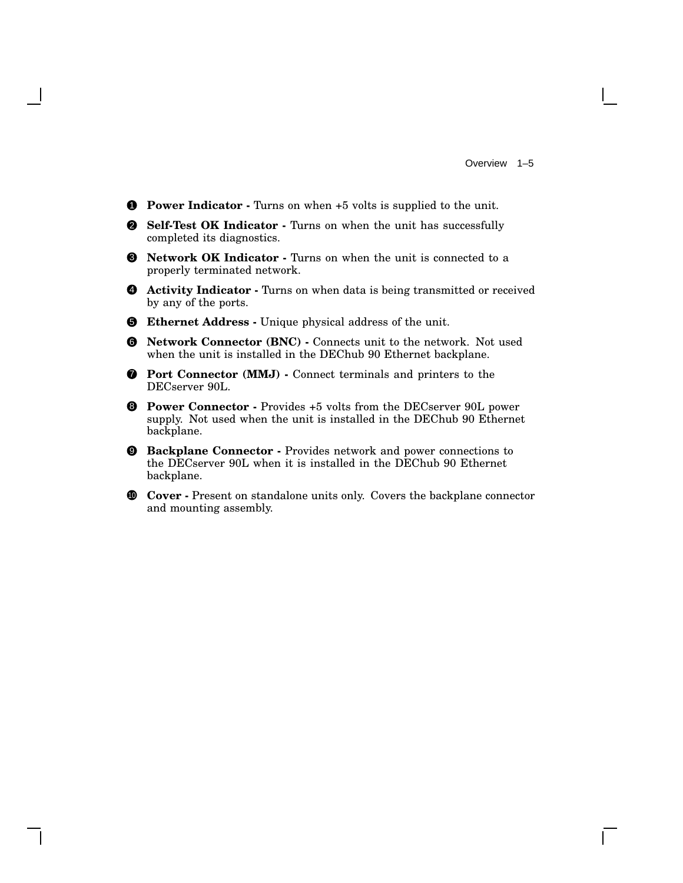- 1 **Power Indicator -** Turns on when +5 volts is supplied to the unit.
- 2 **Self-Test OK Indicator -** Turns on when the unit has successfully completed its diagnostics.
- 3 **Network OK Indicator -** Turns on when the unit is connected to a properly terminated network.
- 4 **Activity Indicator -** Turns on when data is being transmitted or received by any of the ports.
- 5 **Ethernet Address -** Unique physical address of the unit.
- 6 **Network Connector (BNC) -** Connects unit to the network. Not used when the unit is installed in the DEChub 90 Ethernet backplane.
- 7 **Port Connector (MMJ) -** Connect terminals and printers to the DECserver 90L.
- 8 **Power Connector -** Provides +5 volts from the DECserver 90L power supply. Not used when the unit is installed in the DEChub 90 Ethernet backplane.
- 9 **Backplane Connector -** Provides network and power connections to the DECserver 90L when it is installed in the DEChub 90 Ethernet backplane.
- <sup>10</sup> **Cover -** Present on standalone units only. Covers the backplane connector and mounting assembly.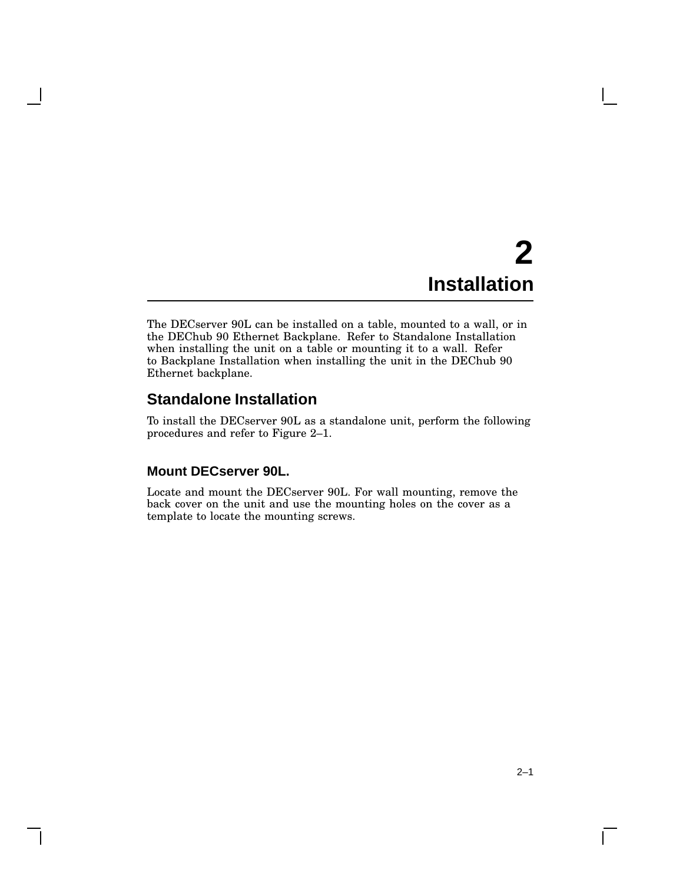# **2 Installation**

The DECserver 90L can be installed on a table, mounted to a wall, or in the DEChub 90 Ethernet Backplane. Refer to Standalone Installation when installing the unit on a table or mounting it to a wall. Refer to Backplane Installation when installing the unit in the DEChub 90 Ethernet backplane.

## **Standalone Installation**

To install the DECserver 90L as a standalone unit, perform the following procedures and refer to Figure 2–1.

#### **Mount DECserver 90L.**

Locate and mount the DECserver 90L. For wall mounting, remove the back cover on the unit and use the mounting holes on the cover as a template to locate the mounting screws.

 $\mathbf{I}$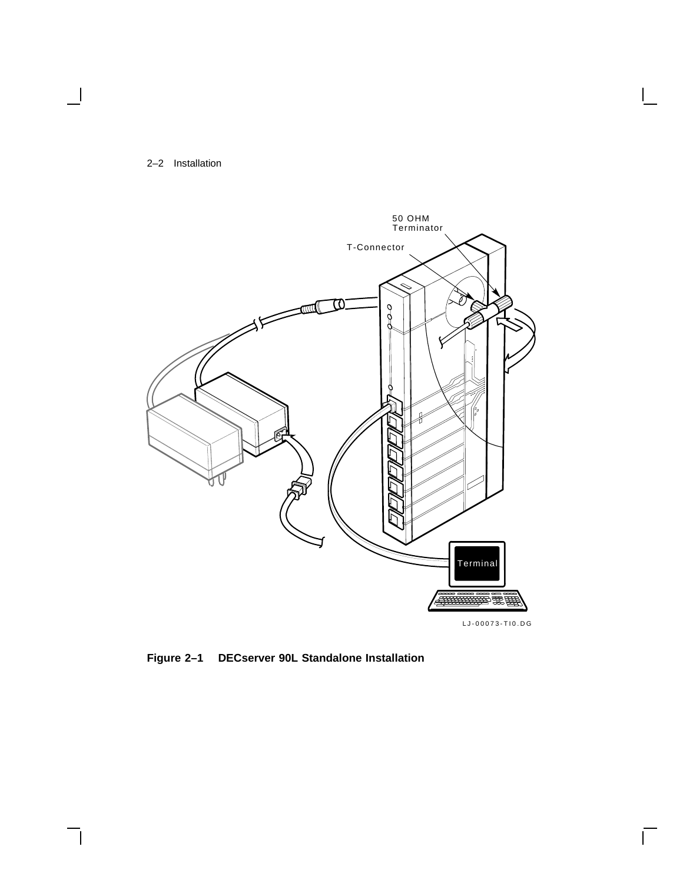#### 2–2 Installation



 $\overline{\Gamma}$ 

**Figure 2–1 DECserver 90L Standalone Installation**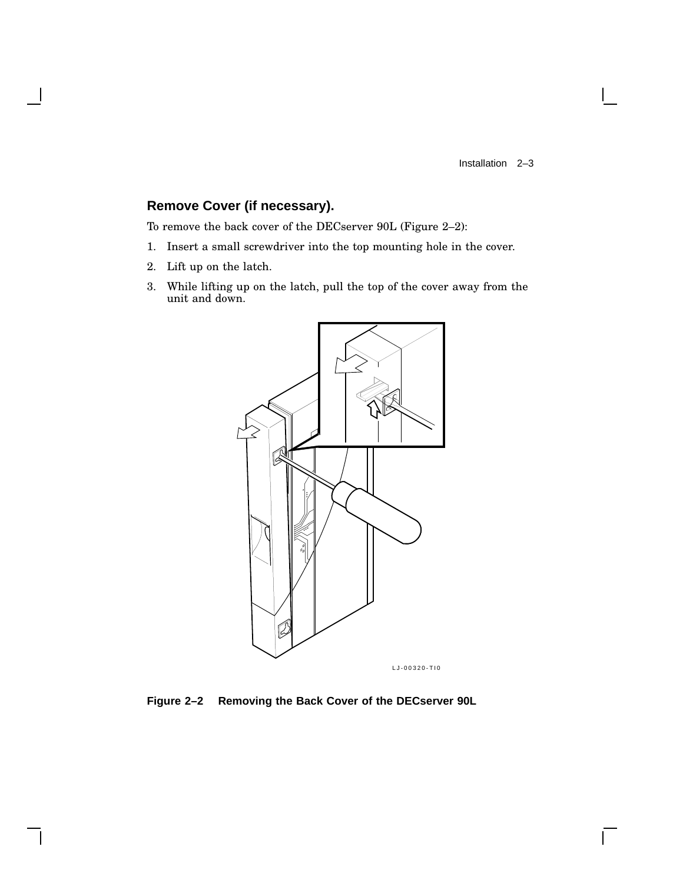$\mathsf{L}$ 

## **Remove Cover (if necessary).**

To remove the back cover of the DECserver 90L (Figure 2–2):

- 1. Insert a small screwdriver into the top mounting hole in the cover.
- 2. Lift up on the latch.
- 3. While lifting up on the latch, pull the top of the cover away from the unit and down.



**Figure 2–2 Removing the Back Cover of the DECserver 90L**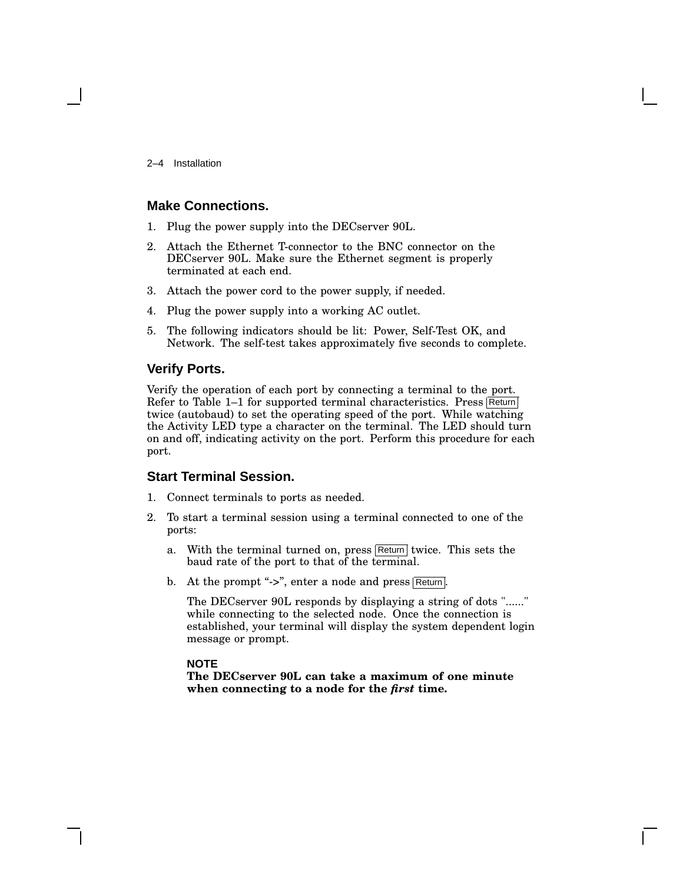2–4 Installation

#### **Make Connections.**

- 1. Plug the power supply into the DECserver 90L.
- 2. Attach the Ethernet T-connector to the BNC connector on the DECserver 90L. Make sure the Ethernet segment is properly terminated at each end.
- 3. Attach the power cord to the power supply, if needed.
- 4. Plug the power supply into a working AC outlet.
- 5. The following indicators should be lit: Power, Self-Test OK, and Network. The self-test takes approximately five seconds to complete.

#### **Verify Ports.**

Verify the operation of each port by connecting a terminal to the port. Refer to Table  $1-1$  for supported terminal characteristics. Press Return twice (autobaud) to set the operating speed of the port. While watching the Activity LED type a character on the terminal. The LED should turn on and off, indicating activity on the port. Perform this procedure for each port.

#### **Start Terminal Session.**

- 1. Connect terminals to ports as needed.
- 2. To start a terminal session using a terminal connected to one of the ports:
	- a. With the terminal turned on, press Return twice. This sets the baud rate of the port to that of the terminal.
	- b. At the prompt "->", enter a node and press  $\sqrt{\text{Return}}$ .

The DECserver 90L responds by displaying a string of dots "......" while connecting to the selected node. Once the connection is established, your terminal will display the system dependent login message or prompt.

#### **NOTE**

**The DECserver 90L can take a maximum of one minute when connecting to a node for the** *first* **time.**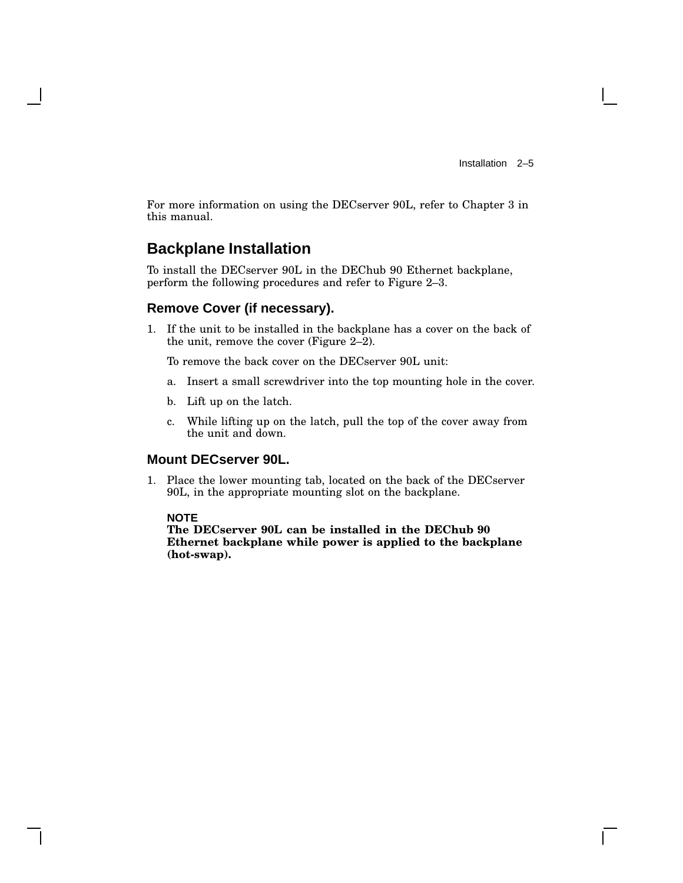For more information on using the DECserver 90L, refer to Chapter 3 in this manual.

## **Backplane Installation**

To install the DECserver 90L in the DEChub 90 Ethernet backplane, perform the following procedures and refer to Figure 2–3.

#### **Remove Cover (if necessary).**

1. If the unit to be installed in the backplane has a cover on the back of the unit, remove the cover (Figure 2–2).

To remove the back cover on the DECserver 90L unit:

- a. Insert a small screwdriver into the top mounting hole in the cover.
- b. Lift up on the latch.
- c. While lifting up on the latch, pull the top of the cover away from the unit and down.

## **Mount DECserver 90L.**

1. Place the lower mounting tab, located on the back of the DECserver 90L, in the appropriate mounting slot on the backplane.

#### **NOTE**

**The DECserver 90L can be installed in the DEChub 90 Ethernet backplane while power is applied to the backplane (hot-swap).**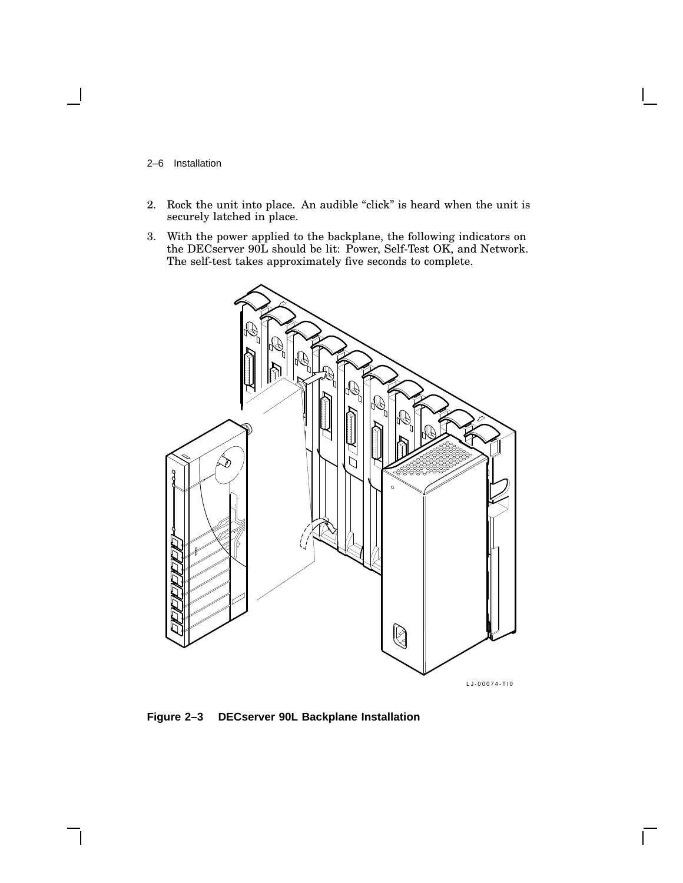- 2–6 Installation
- 2. Rock the unit into place. An audible "click" is heard when the unit is securely latched in place.
- 3. With the power applied to the backplane, the following indicators on the DECserver 90L should be lit: Power, Self-Test OK, and Network. The self-test takes approximately five seconds to complete.



 $\mathsf{L}$ 

**Figure 2–3 DECserver 90L Backplane Installation**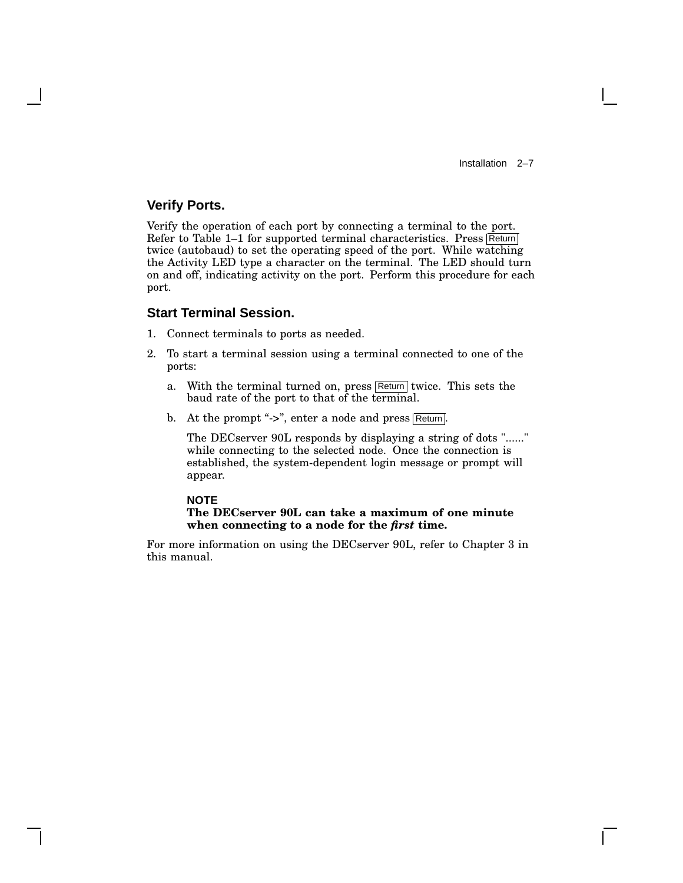Installation 2–7

### **Verify Ports.**

Verify the operation of each port by connecting a terminal to the port. Refer to Table  $1-1$  for supported terminal characteristics. Press Return twice (autobaud) to set the operating speed of the port. While watching the Activity LED type a character on the terminal. The LED should turn on and off, indicating activity on the port. Perform this procedure for each port.

#### **Start Terminal Session.**

- 1. Connect terminals to ports as needed.
- 2. To start a terminal session using a terminal connected to one of the ports:
	- a. With the terminal turned on, press  $\sqrt{\text{Return}}$  twice. This sets the baud rate of the port to that of the terminal.
	- b. At the prompt "->", enter a node and press Return.

The DECserver 90L responds by displaying a string of dots "......" while connecting to the selected node. Once the connection is established, the system-dependent login message or prompt will appear.

#### **NOTE The DECserver 90L can take a maximum of one minute when connecting to a node for the** *first* **time.**

For more information on using the DECserver 90L, refer to Chapter 3 in this manual.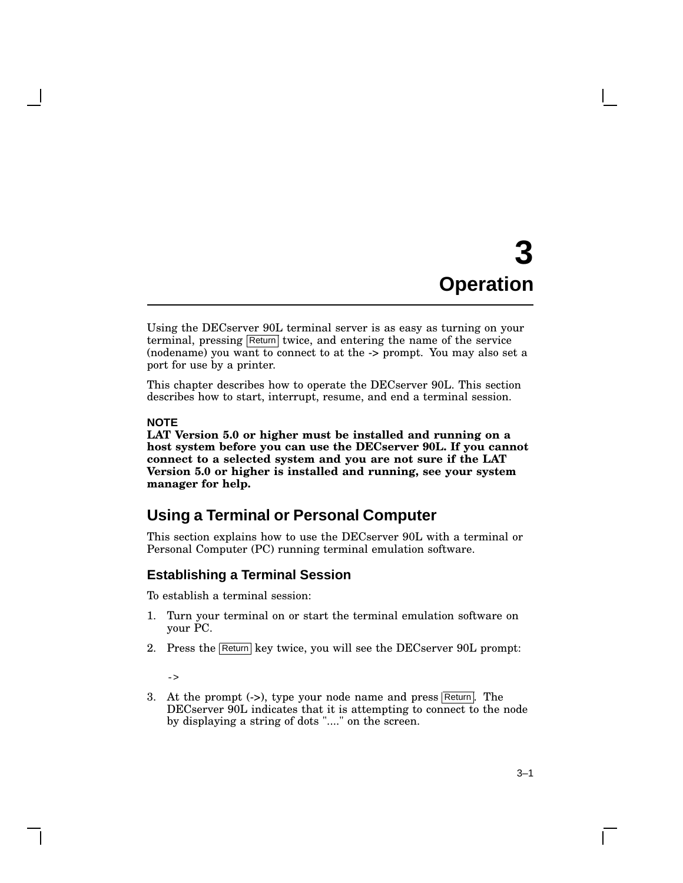# **3 Operation**

Using the DECserver 90L terminal server is as easy as turning on your terminal, pressing Return twice, and entering the name of the service (nodename) you want to connect to at the -> prompt. You may also set a port for use by a printer.

This chapter describes how to operate the DECserver 90L. This section describes how to start, interrupt, resume, and end a terminal session.

#### **NOTE**

**LAT Version 5.0 or higher must be installed and running on a host system before you can use the DECserver 90L. If you cannot connect to a selected system and you are not sure if the LAT Version 5.0 or higher is installed and running, see your system manager for help.**

## **Using a Terminal or Personal Computer**

This section explains how to use the DECserver 90L with a terminal or Personal Computer (PC) running terminal emulation software.

#### **Establishing a Terminal Session**

To establish a terminal session:

- 1. Turn your terminal on or start the terminal emulation software on your PC.
- 2. Press the Return key twice, you will see the DECserver 90L prompt:
	- $\rightarrow$
- 3. At the prompt  $(-)$ , type your node name and press Return. The DECserver 90L indicates that it is attempting to connect to the node by displaying a string of dots "...." on the screen.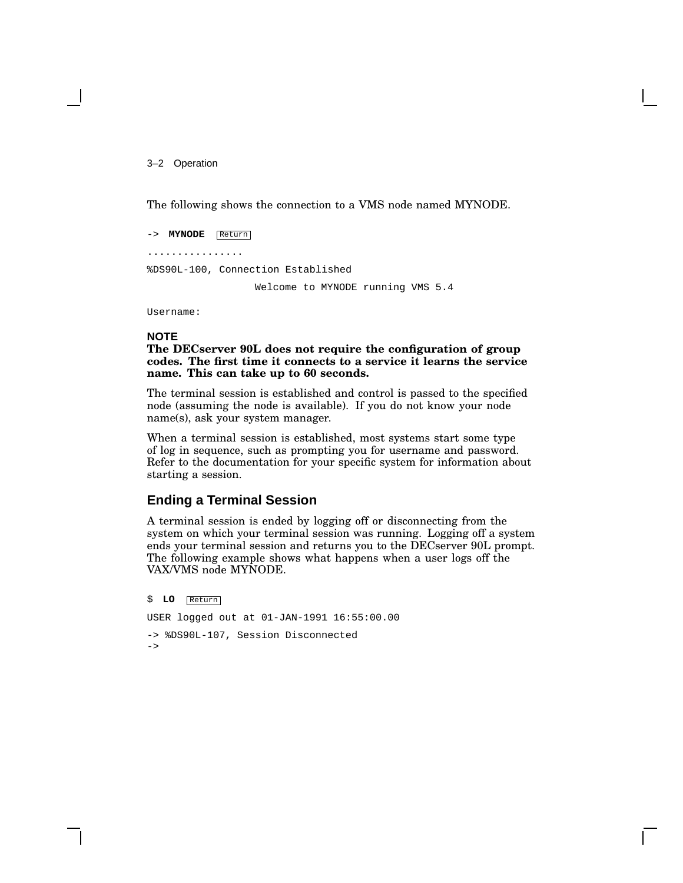3–2 Operation

The following shows the connection to a VMS node named MYNODE.

-> **MYNODE** Return ................ %DS90L-100, Connection Established Welcome to MYNODE running VMS 5.4

Username:

#### **NOTE**

**The DECserver 90L does not require the configuration of group codes. The first time it connects to a service it learns the service name. This can take up to 60 seconds.**

The terminal session is established and control is passed to the specified node (assuming the node is available). If you do not know your node name(s), ask your system manager.

When a terminal session is established, most systems start some type of log in sequence, such as prompting you for username and password. Refer to the documentation for your specific system for information about starting a session.

#### **Ending a Terminal Session**

A terminal session is ended by logging off or disconnecting from the system on which your terminal session was running. Logging off a system ends your terminal session and returns you to the DECserver 90L prompt. The following example shows what happens when a user logs off the VAX/VMS node MYNODE.

```
$ LO Return
USER logged out at 01-JAN-1991 16:55:00.00
-> %DS90L-107, Session Disconnected
->
```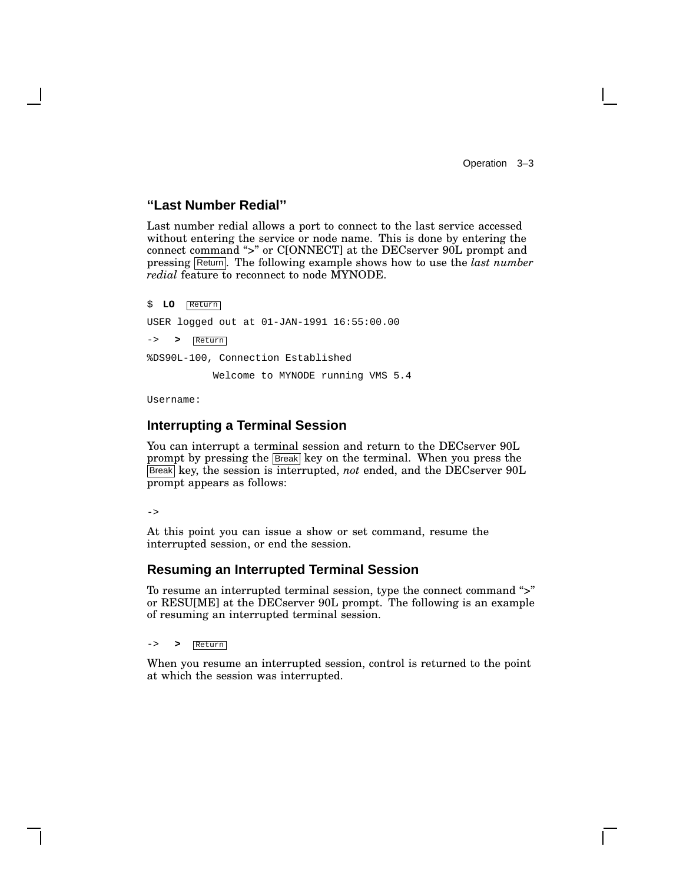Operation 3–3

#### **''Last Number Redial''**

Last number redial allows a port to connect to the last service accessed without entering the service or node name. This is done by entering the connect command ">" or C[ONNECT] at the DECserver 90L prompt and pressing Return . The following example shows how to use the *last number redial* feature to reconnect to node MYNODE.

\$ **LO** Return USER logged out at 01-JAN-1991 16:55:00.00 -> **>** Return %DS90L-100, Connection Established Welcome to MYNODE running VMS 5.4

Username:

#### **Interrupting a Terminal Session**

You can interrupt a terminal session and return to the DECserver 90L prompt by pressing the **Break** key on the terminal. When you press the Break key, the session is interrupted, *not* ended, and the DECserver 90L prompt appears as follows:

 $\rightarrow$ 

At this point you can issue a show or set command, resume the interrupted session, or end the session.

#### **Resuming an Interrupted Terminal Session**

To resume an interrupted terminal session, type the connect command ''>'' or RESU[ME] at the DECserver 90L prompt. The following is an example of resuming an interrupted terminal session.

-> **>** Return

When you resume an interrupted session, control is returned to the point at which the session was interrupted.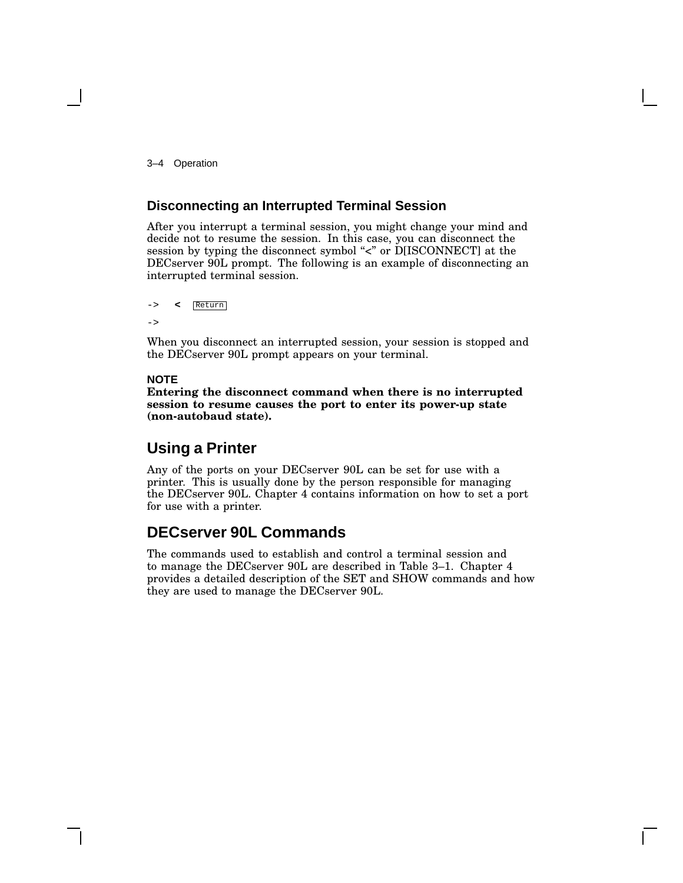3–4 Operation

### **Disconnecting an Interrupted Terminal Session**

After you interrupt a terminal session, you might change your mind and decide not to resume the session. In this case, you can disconnect the session by typing the disconnect symbol "<" or D[ISCONNECT] at the DECserver 90L prompt. The following is an example of disconnecting an interrupted terminal session.

```
-> < Return
->
```
When you disconnect an interrupted session, your session is stopped and the DECserver 90L prompt appears on your terminal.

#### **NOTE**

**Entering the disconnect command when there is no interrupted session to resume causes the port to enter its power-up state (non-autobaud state).**

## **Using a Printer**

Any of the ports on your DECserver 90L can be set for use with a printer. This is usually done by the person responsible for managing the DECserver 90L. Chapter 4 contains information on how to set a port for use with a printer.

## **DECserver 90L Commands**

The commands used to establish and control a terminal session and to manage the DECserver 90L are described in Table 3–1. Chapter 4 provides a detailed description of the SET and SHOW commands and how they are used to manage the DECserver 90L.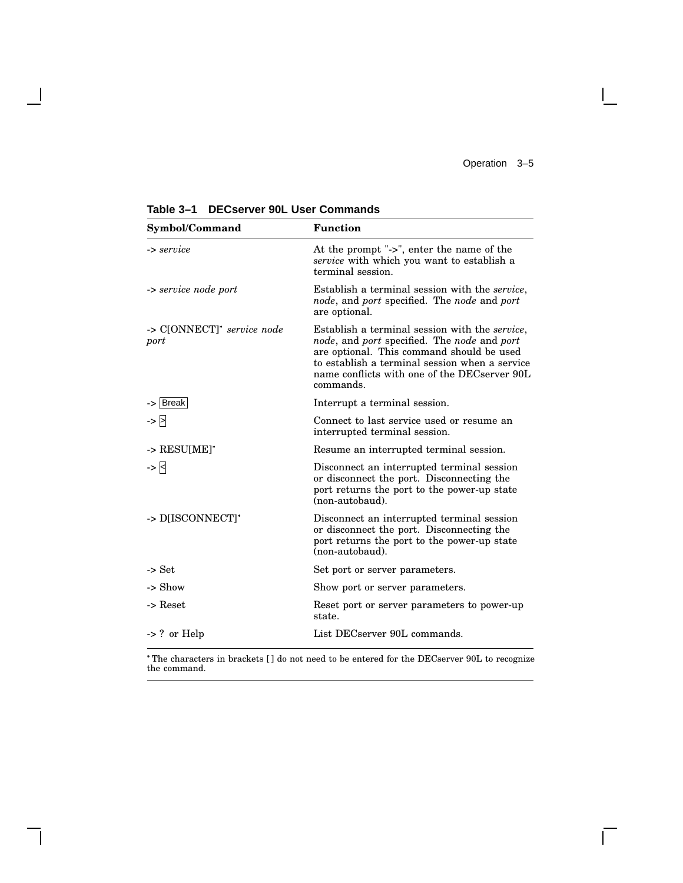$\mathsf{I}$ 

 $\overline{\Gamma}$ 

| Symbol/Command                     | <b>Function</b>                                                                                                                                                                                                                                           |  |  |
|------------------------------------|-----------------------------------------------------------------------------------------------------------------------------------------------------------------------------------------------------------------------------------------------------------|--|--|
| -> service                         | At the prompt "->", enter the name of the<br>service with which you want to establish a<br>terminal session.                                                                                                                                              |  |  |
| -> service node port               | Establish a terminal session with the <i>service</i> ,<br>node, and port specified. The node and port<br>are optional.                                                                                                                                    |  |  |
| -> C[ONNECT]* service node<br>port | Establish a terminal session with the service,<br>node, and port specified. The node and port<br>are optional. This command should be used<br>to establish a terminal session when a service<br>name conflicts with one of the DECserver 90L<br>commands. |  |  |
| -> Break                           | Interrupt a terminal session.                                                                                                                                                                                                                             |  |  |
| -> F                               | Connect to last service used or resume an<br>interrupted terminal session.                                                                                                                                                                                |  |  |
| $\rightarrow$ RESU[ME]*            | Resume an interrupted terminal session.                                                                                                                                                                                                                   |  |  |
| -> R                               | Disconnect an interrupted terminal session<br>or disconnect the port. Disconnecting the<br>port returns the port to the power-up state<br>(non-autobaud).                                                                                                 |  |  |
| -> D[ISCONNECT]*                   | Disconnect an interrupted terminal session<br>or disconnect the port. Disconnecting the<br>port returns the port to the power-up state<br>(non-autobaud).                                                                                                 |  |  |
| -> Set                             | Set port or server parameters.                                                                                                                                                                                                                            |  |  |
| -> Show                            | Show port or server parameters.                                                                                                                                                                                                                           |  |  |
| $\rightarrow$ Reset                | Reset port or server parameters to power-up<br>state.                                                                                                                                                                                                     |  |  |
| $\rightarrow$ ? or Help            | List DECserver 90L commands.                                                                                                                                                                                                                              |  |  |

**Table 3–1 DECserver 90L User Commands**

 $\overline{\phantom{a}}$ 

 $\mathsf{l}$ 

 The characters in brackets [ ] do not need to be entered for the DECserver 90L to recognize the command.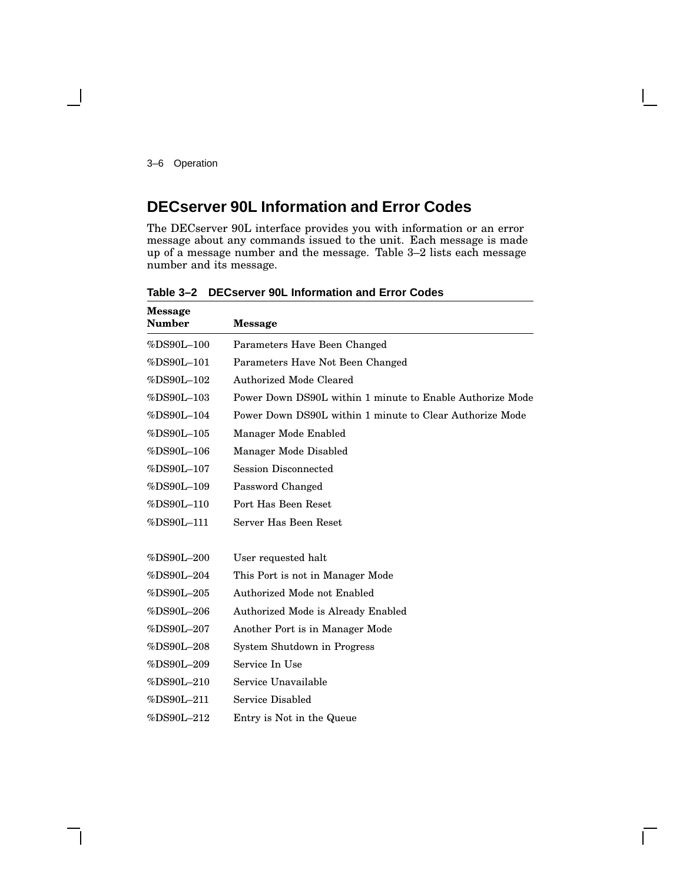3–6 Operation

## **DECserver 90L Information and Error Codes**

The DECserver 90L interface provides you with information or an error message about any commands issued to the unit. Each message is made up of a message number and the message. Table 3–2 lists each message number and its message.

| <b>Message</b><br><b>Number</b> | <b>Message</b>                                            |
|---------------------------------|-----------------------------------------------------------|
| %DS90L-100                      | Parameters Have Been Changed                              |
| %DS90L-101                      | Parameters Have Not Been Changed                          |
| %DS90L-102                      | <b>Authorized Mode Cleared</b>                            |
| %DS90L-103                      | Power Down DS90L within 1 minute to Enable Authorize Mode |
| %DS90L-104                      | Power Down DS90L within 1 minute to Clear Authorize Mode  |
| %DS90L-105                      | Manager Mode Enabled                                      |
| %DS90L-106                      | Manager Mode Disabled                                     |
| %DS90L-107                      | <b>Session Disconnected</b>                               |
| %DS90L-109                      | Password Changed                                          |
| %DS90L-110                      | Port Has Been Reset                                       |
| %DS90L-111                      | Server Has Been Reset                                     |
| %DS90L-200                      | User requested halt                                       |
| %DS90L-204                      | This Port is not in Manager Mode                          |
| %DS90L-205                      | Authorized Mode not Enabled                               |
| %DS90L-206                      | Authorized Mode is Already Enabled                        |
| %DS90L-207                      | Another Port is in Manager Mode                           |
| %DS90L-208                      | System Shutdown in Progress                               |
| %DS90L-209                      | Service In Use                                            |
| %DS90L-210                      | Service Unavailable                                       |
| %DS90L-211                      | Service Disabled                                          |
| %DS90L-212                      | Entry is Not in the Queue                                 |

**Table 3–2 DECserver 90L Information and Error Codes**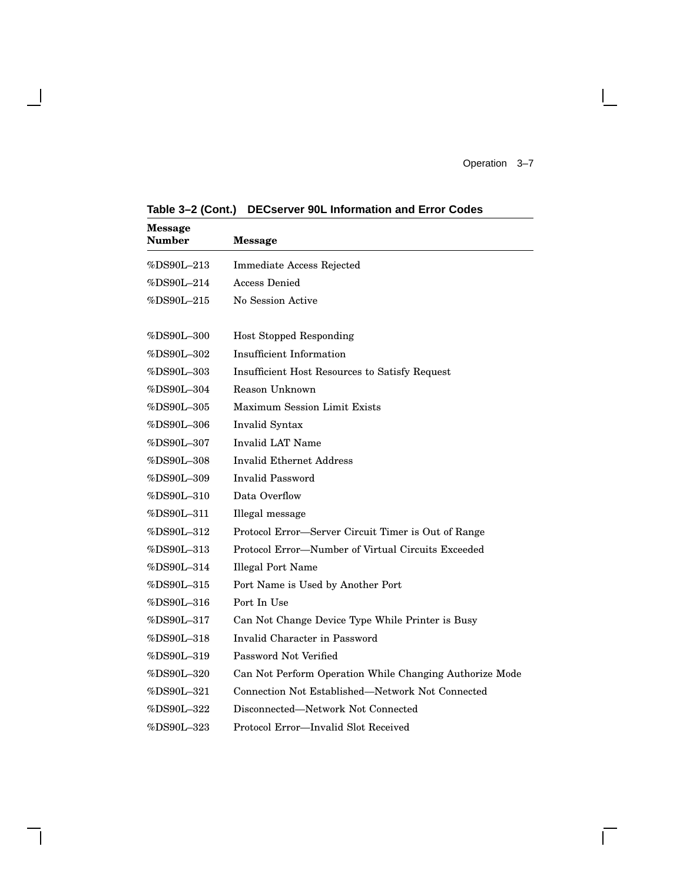Operation 3–7

 $\mathbf{L}$ 

| <b>Message</b><br>Number                         | <b>Message</b>                                          |
|--------------------------------------------------|---------------------------------------------------------|
| $%DS90L-213$                                     | Immediate Access Rejected                               |
| %DS90L-214                                       | Access Denied                                           |
| %DS90L-215                                       | No Session Active                                       |
| $\%\text{DS90L--300}$                            | <b>Host Stopped Responding</b>                          |
| %DS90L-302                                       | <b>Insufficient Information</b>                         |
| %DS90L-303                                       | Insufficient Host Resources to Satisfy Request          |
| %DS90L-304                                       | Reason Unknown                                          |
| $\%\mathrm{D}\mathrm{S}90\mathrm{L}\text{--}305$ | <b>Maximum Session Limit Exists</b>                     |
| %DS90L-306                                       | Invalid Syntax                                          |
| %DS90L-307                                       | Invalid LAT Name                                        |
| %DS90L-308                                       | <b>Invalid Ethernet Address</b>                         |
| %DS90L-309                                       | Invalid Password                                        |
| %DS90L-310                                       | Data Overflow                                           |
| %DS90L-311                                       | Illegal message                                         |
| %DS90L-312                                       | Protocol Error-Server Circuit Timer is Out of Range     |
| %DS90L-313                                       | Protocol Error-Number of Virtual Circuits Exceeded      |
| %DS90L-314                                       | <b>Illegal Port Name</b>                                |
| %DS90L-315                                       | Port Name is Used by Another Port                       |
| %DS90L-316                                       | Port In Use                                             |
| %DS90L-317                                       | Can Not Change Device Type While Printer is Busy        |
| %DS90L-318                                       | Invalid Character in Password                           |
| %DS90L-319                                       | Password Not Verified                                   |
| $\%\mathrm{D}\mathrm{S}90\mathrm{L}{-}320$       | Can Not Perform Operation While Changing Authorize Mode |
| %DS90L–321                                       | Connection Not Established—Network Not Connected        |
| %DS90L–322                                       | Disconnected—Network Not Connected                      |
| %DS90L-323                                       | Protocol Error-Invalid Slot Received                    |

**Table 3–2 (Cont.) DECserver 90L Information and Error Codes**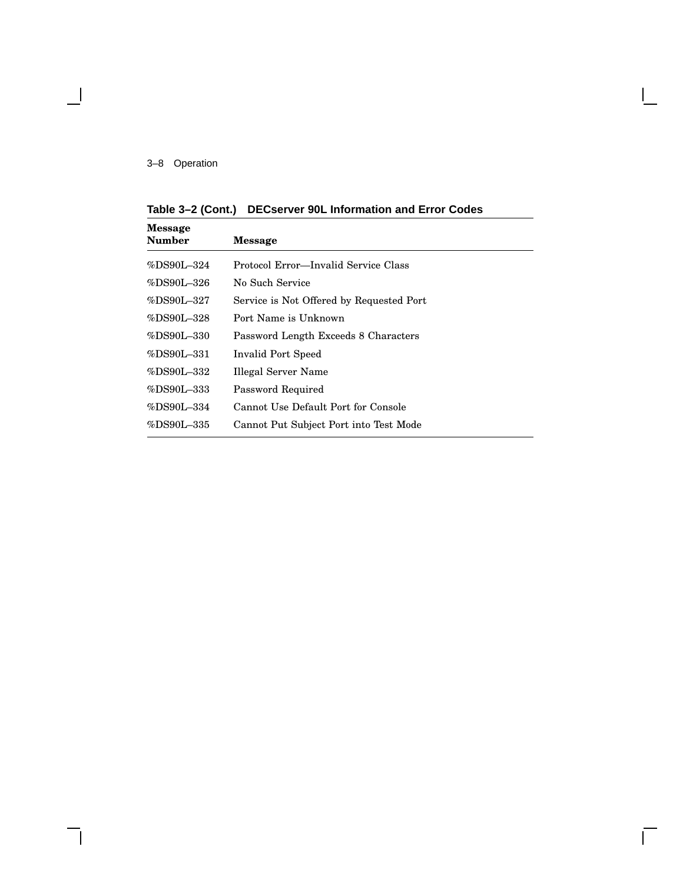#### 3–8 Operation

 $\overline{\phantom{a}}$ 

| Table 3-2 (Cont.) DECserver 90L Information and Error Codes |  |  |  |  |
|-------------------------------------------------------------|--|--|--|--|
|-------------------------------------------------------------|--|--|--|--|

| Message<br>Number | <b>Message</b>                           |
|-------------------|------------------------------------------|
| %DS90L-324        | Protocol Error—Invalid Service Class     |
| %DS90L-326        | No Such Service                          |
| %DS90L-327        | Service is Not Offered by Requested Port |
| %DS90L-328        | Port Name is Unknown                     |
| %DS90L-330        | Password Length Exceeds 8 Characters     |
| %DS90L-331        | Invalid Port Speed                       |
| %DS90L-332        | Illegal Server Name                      |
| %DS90L-333        | Password Required                        |
| %DS90L-334        | Cannot Use Default Port for Console      |
| %DS90L-335        | Cannot Put Subject Port into Test Mode   |
|                   |                                          |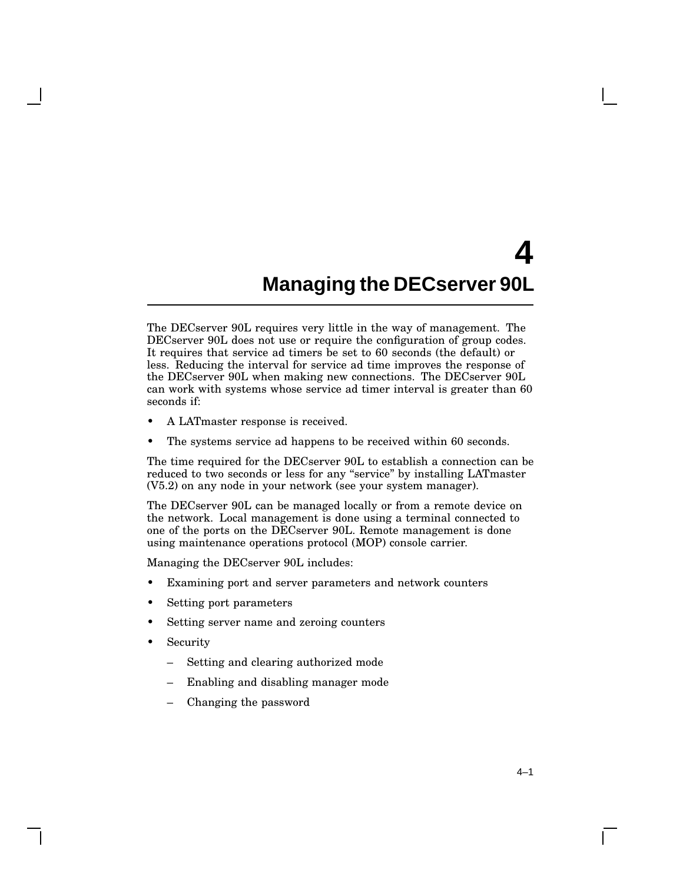# **4 Managing the DECserver 90L**

The DECserver 90L requires very little in the way of management. The DECserver 90L does not use or require the configuration of group codes. It requires that service ad timers be set to 60 seconds (the default) or less. Reducing the interval for service ad time improves the response of the DECserver 90L when making new connections. The DECserver 90L can work with systems whose service ad timer interval is greater than 60 seconds if:

- A LATmaster response is received.
- The systems service ad happens to be received within 60 seconds.

The time required for the DECserver 90L to establish a connection can be reduced to two seconds or less for any ''service'' by installing LATmaster (V5.2) on any node in your network (see your system manager).

The DECserver 90L can be managed locally or from a remote device on the network. Local management is done using a terminal connected to one of the ports on the DECserver 90L. Remote management is done using maintenance operations protocol (MOP) console carrier.

Managing the DECserver 90L includes:

- Examining port and server parameters and network counters
- Setting port parameters
- Setting server name and zeroing counters
- **Security** 
	- Setting and clearing authorized mode
	- Enabling and disabling manager mode
	- Changing the password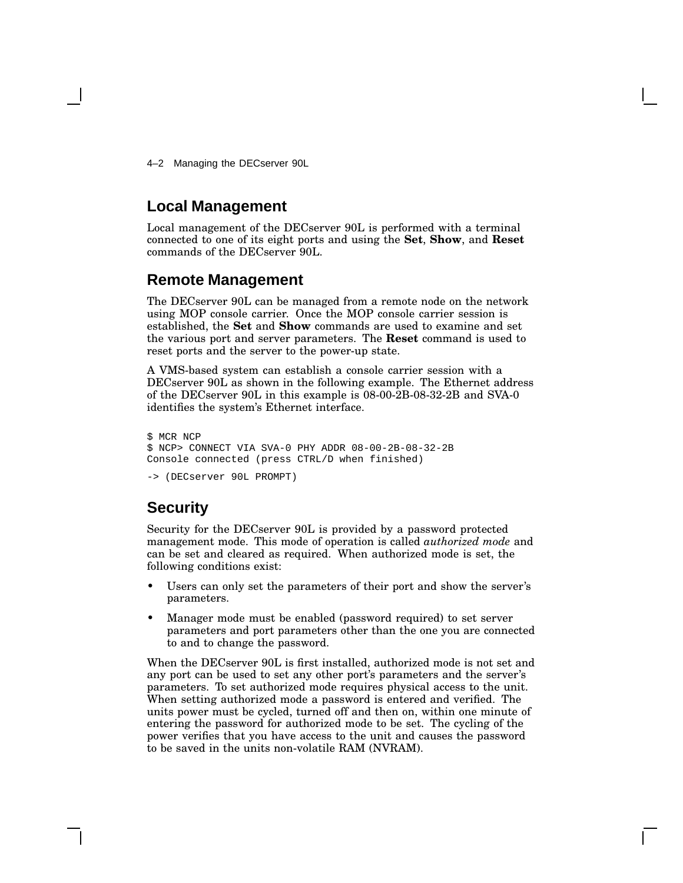4–2 Managing the DECserver 90L

## **Local Management**

Local management of the DECserver 90L is performed with a terminal connected to one of its eight ports and using the **Set**, **Show**, and **Reset** commands of the DECserver 90L.

## **Remote Management**

The DECserver 90L can be managed from a remote node on the network using MOP console carrier. Once the MOP console carrier session is established, the **Set** and **Show** commands are used to examine and set the various port and server parameters. The **Reset** command is used to reset ports and the server to the power-up state.

A VMS-based system can establish a console carrier session with a DECserver 90L as shown in the following example. The Ethernet address of the DECserver 90L in this example is 08-00-2B-08-32-2B and SVA-0 identifies the system's Ethernet interface.

```
$ MCR NCP
$ NCP> CONNECT VIA SVA-0 PHY ADDR 08-00-2B-08-32-2B
Console connected (press CTRL/D when finished)
```

```
-> (DECserver 90L PROMPT)
```
## **Security**

Security for the DECserver 90L is provided by a password protected management mode. This mode of operation is called *authorized mode* and can be set and cleared as required. When authorized mode is set, the following conditions exist:

- Users can only set the parameters of their port and show the server's parameters.
- Manager mode must be enabled (password required) to set server parameters and port parameters other than the one you are connected to and to change the password.

When the DECserver 90L is first installed, authorized mode is not set and any port can be used to set any other port's parameters and the server's parameters. To set authorized mode requires physical access to the unit. When setting authorized mode a password is entered and verified. The units power must be cycled, turned off and then on, within one minute of entering the password for authorized mode to be set. The cycling of the power verifies that you have access to the unit and causes the password to be saved in the units non-volatile RAM (NVRAM).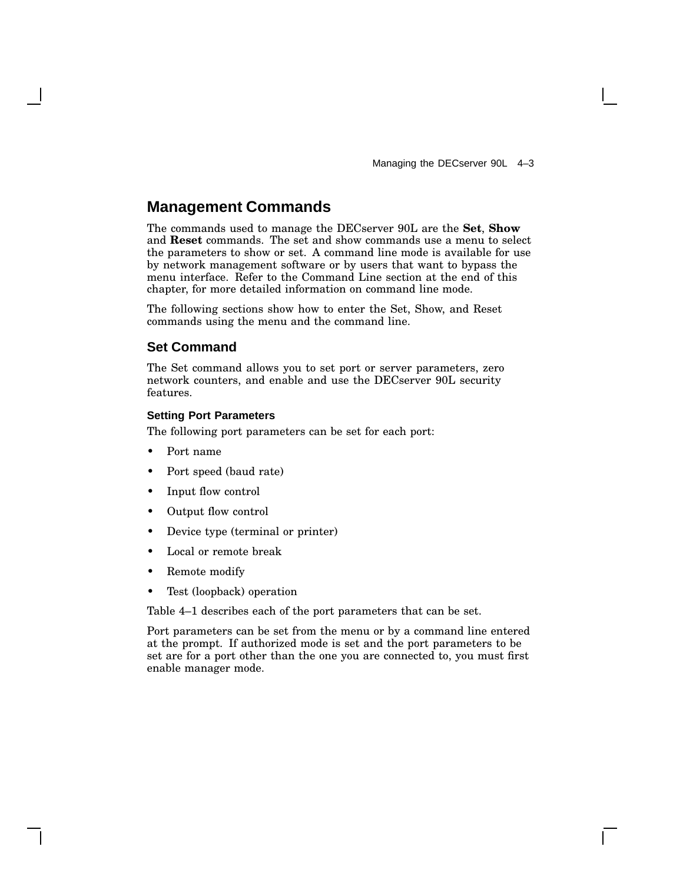## **Management Commands**

The commands used to manage the DECserver 90L are the **Set**, **Show** and **Reset** commands. The set and show commands use a menu to select the parameters to show or set. A command line mode is available for use by network management software or by users that want to bypass the menu interface. Refer to the Command Line section at the end of this chapter, for more detailed information on command line mode.

The following sections show how to enter the Set, Show, and Reset commands using the menu and the command line.

#### **Set Command**

The Set command allows you to set port or server parameters, zero network counters, and enable and use the DECserver 90L security features.

#### **Setting Port Parameters**

The following port parameters can be set for each port:

- Port name
- Port speed (baud rate)
- Input flow control
- Output flow control
- Device type (terminal or printer)
- Local or remote break
- Remote modify
- Test (loopback) operation

Table 4–1 describes each of the port parameters that can be set.

Port parameters can be set from the menu or by a command line entered at the prompt. If authorized mode is set and the port parameters to be set are for a port other than the one you are connected to, you must first enable manager mode.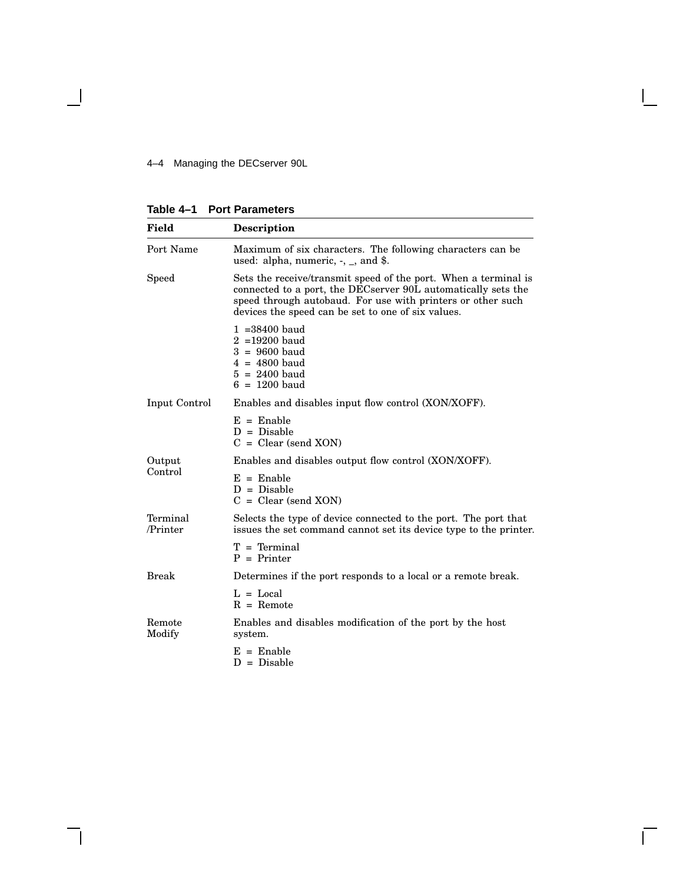4–4 Managing the DECserver 90L

 $\mathbf \mathbf I$ 

**Table 4–1 Port Parameters**

| Field                | <b>Description</b>                                                                                                                                                                                                                                    |  |  |  |  |  |
|----------------------|-------------------------------------------------------------------------------------------------------------------------------------------------------------------------------------------------------------------------------------------------------|--|--|--|--|--|
| Port Name            | Maximum of six characters. The following characters can be<br>used: alpha, numeric, $-$ , $-$ , and \$.                                                                                                                                               |  |  |  |  |  |
| Speed                | Sets the receive/transmit speed of the port. When a terminal is<br>connected to a port, the DECserver 90L automatically sets the<br>speed through autobaud. For use with printers or other such<br>devices the speed can be set to one of six values. |  |  |  |  |  |
|                      | $1 = 38400$ baud<br>$2 = 19200$ baud<br>$3 = 9600$ baud<br>$4 = 4800$ baud<br>$5 = 2400$ baud<br>$6 = 1200$ baud                                                                                                                                      |  |  |  |  |  |
| Input Control        | Enables and disables input flow control (XON/XOFF).                                                                                                                                                                                                   |  |  |  |  |  |
|                      | $E =$ Enable<br>$D = Disable$<br>$C = Clear$ (send XON)                                                                                                                                                                                               |  |  |  |  |  |
| Output               | Enables and disables output flow control (XON/XOFF).                                                                                                                                                                                                  |  |  |  |  |  |
| Control              | $E =$ Enable<br>$D = Disable$<br>$C = Clear$ (send XON)                                                                                                                                                                                               |  |  |  |  |  |
| Terminal<br>/Printer | Selects the type of device connected to the port. The port that<br>issues the set command cannot set its device type to the printer.                                                                                                                  |  |  |  |  |  |
|                      | $T = Terminal$<br>$P = Printer$                                                                                                                                                                                                                       |  |  |  |  |  |
| Break                | Determines if the port responds to a local or a remote break.                                                                                                                                                                                         |  |  |  |  |  |
|                      | $L = Local$<br>$R =$ Remote                                                                                                                                                                                                                           |  |  |  |  |  |
| Remote<br>Modify     | Enables and disables modification of the port by the host<br>system.                                                                                                                                                                                  |  |  |  |  |  |
|                      | $E =$ Enable<br>$D = Disable$                                                                                                                                                                                                                         |  |  |  |  |  |

 $\mathbf{I}$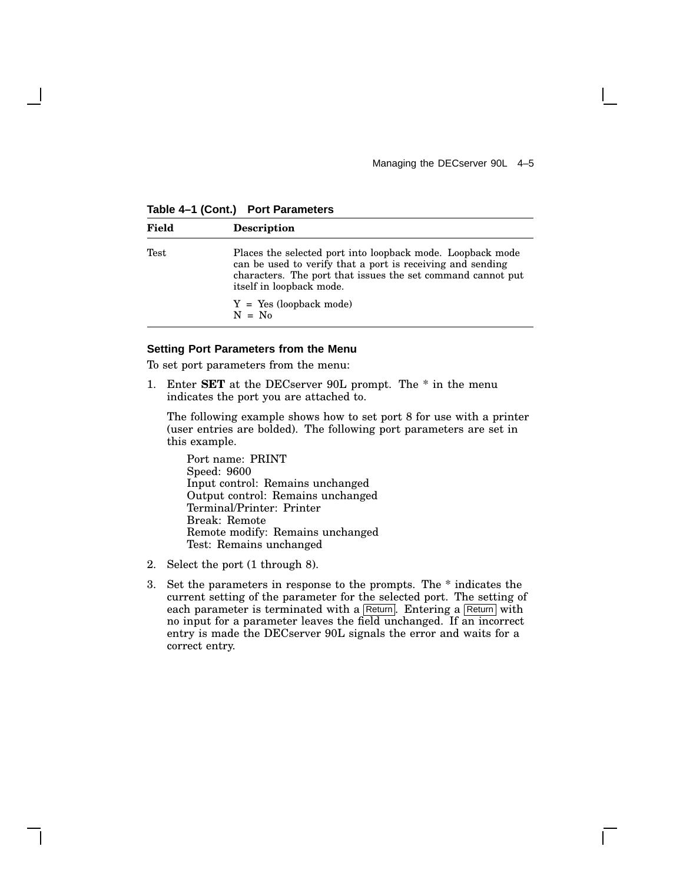**Table 4–1 (Cont.) Port Parameters**

| Field | <b>Description</b>                                                                                                                                                                                                  |
|-------|---------------------------------------------------------------------------------------------------------------------------------------------------------------------------------------------------------------------|
| Test  | Places the selected port into loopback mode. Loopback mode<br>can be used to verify that a port is receiving and sending<br>characters. The port that issues the set command cannot put<br>itself in loopback mode. |
|       | $Y = Yes (loopback mode)$<br>$N = No$                                                                                                                                                                               |

#### **Setting Port Parameters from the Menu**

To set port parameters from the menu:

1. Enter **SET** at the DECserver 90L prompt. The \* in the menu indicates the port you are attached to.

The following example shows how to set port 8 for use with a printer (user entries are bolded). The following port parameters are set in this example.

Port name: PRINT Speed: 9600 Input control: Remains unchanged Output control: Remains unchanged Terminal/Printer: Printer Break: Remote Remote modify: Remains unchanged Test: Remains unchanged

- 2. Select the port (1 through 8).
- 3. Set the parameters in response to the prompts. The \* indicates the current setting of the parameter for the selected port. The setting of each parameter is terminated with a Return. Entering a Return with no input for a parameter leaves the field unchanged. If an incorrect entry is made the DECserver 90L signals the error and waits for a correct entry.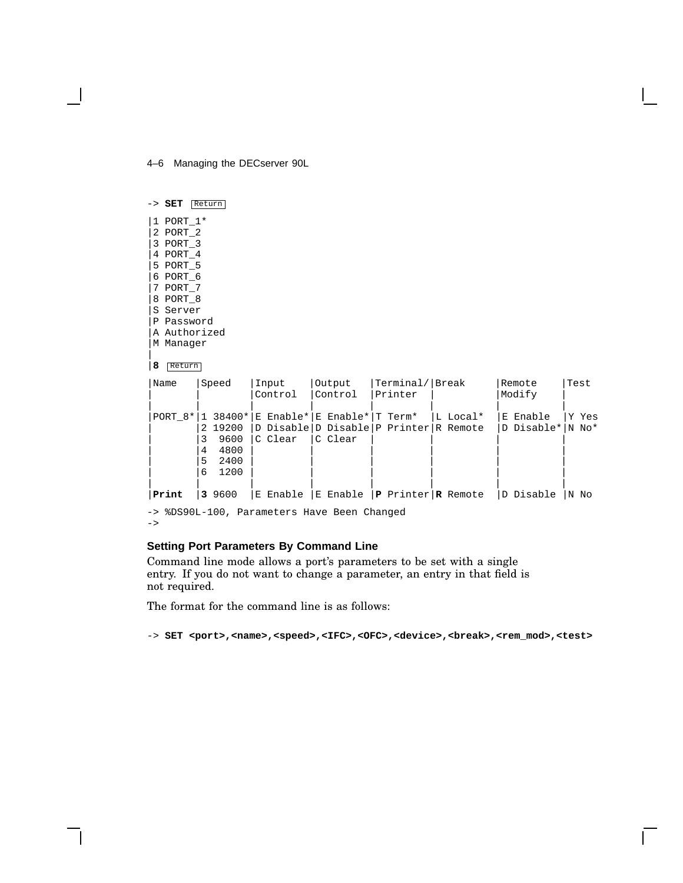4–6 Managing the DECserver 90L

|   | -> SET<br>Return |
|---|------------------|
|   | 1 PORT 1*        |
|   | 2 PORT 2         |
|   | 3 PORT_3         |
|   | 4 PORT_4         |
|   | 5 PORT 5         |
|   | 6 PORT 6         |
|   | 7 PORT 7         |
|   | 8 PORT 8         |
|   | S Server         |
|   | P Password       |
|   | A Authorized     |
|   | M Manager        |
| 8 | Return           |

| Name  |   | Speed   | Input                                          | Output                      | Terminal/ Break |          | Remote           | Test  |
|-------|---|---------|------------------------------------------------|-----------------------------|-----------------|----------|------------------|-------|
|       |   |         | Control                                        | Control                     | Printer         |          | Modify           |       |
|       |   |         | PORT $8* 1 38400* E$ Enable* E Enable* T Term* |                             |                 | L Local* | E Enable         | Y Yes |
|       |   | 2 19200 | D Disable D Disable P Printer R Remote         |                             |                 |          | D Disable* N No* |       |
|       |   | 9600    | C Clear                                        | C Clear                     |                 |          |                  |       |
|       | 4 | 4800    |                                                |                             |                 |          |                  |       |
|       | 5 | 2400    |                                                |                             |                 |          |                  |       |
|       | 6 | 1200    |                                                |                             |                 |          |                  |       |
|       |   |         |                                                |                             |                 |          |                  |       |
| Print |   | 3 9600  | E Enable                                       | E Enable P Printer R Remote |                 |          | D Disable        | 'N No |

-> %DS90L-100, Parameters Have Been Changed  $\rightarrow$ 

#### **Setting Port Parameters By Command Line**

Command line mode allows a port's parameters to be set with a single entry. If you do not want to change a parameter, an entry in that field is not required.

The format for the command line is as follows:

-> **SET** <port>,<name>,<speed>,<IFC>,<OFC>,<device>,<br/>break>,<rem\_mod>,<test>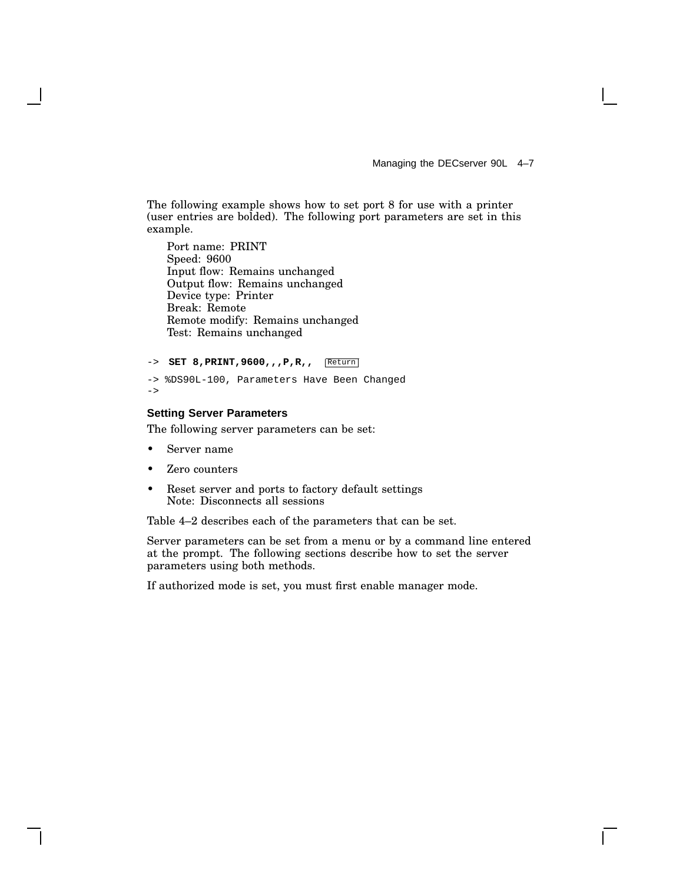Managing the DECserver 90L 4–7

The following example shows how to set port 8 for use with a printer (user entries are bolded). The following port parameters are set in this example.

Port name: PRINT Speed: 9600 Input flow: Remains unchanged Output flow: Remains unchanged Device type: Printer Break: Remote Remote modify: Remains unchanged Test: Remains unchanged

```
-> SET 8, PRINT, 9600, , , P, R, , Return
-> %DS90L-100, Parameters Have Been Changed
```

```
\rightarrow
```
#### **Setting Server Parameters**

The following server parameters can be set:

- Server name
- Zero counters
- Reset server and ports to factory default settings Note: Disconnects all sessions

Table 4–2 describes each of the parameters that can be set.

Server parameters can be set from a menu or by a command line entered at the prompt. The following sections describe how to set the server parameters using both methods.

If authorized mode is set, you must first enable manager mode.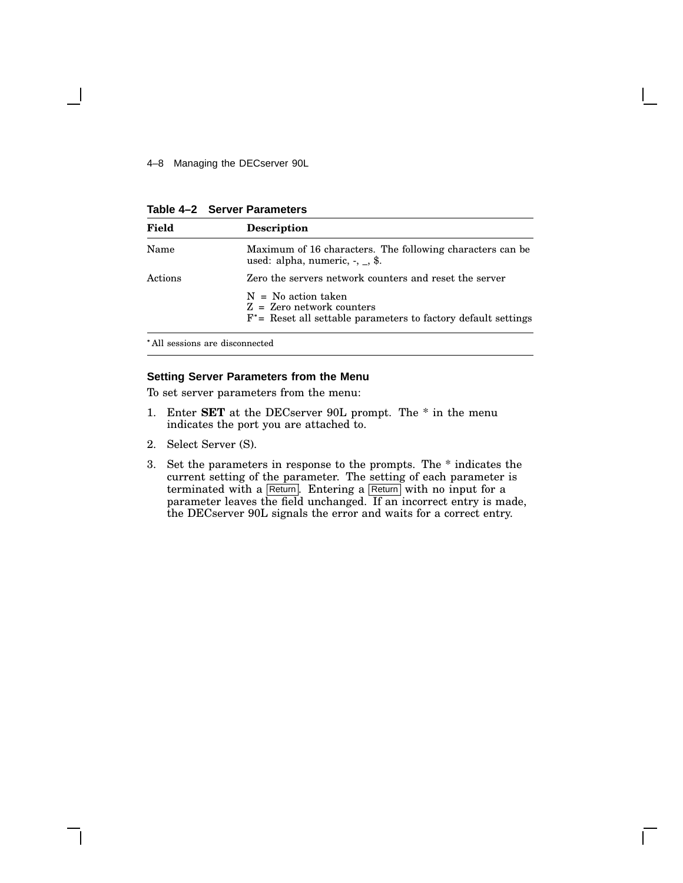4–8 Managing the DECserver 90L

**Table 4–2 Server Parameters**

| Field   | <b>Description</b>                                                                                                        |
|---------|---------------------------------------------------------------------------------------------------------------------------|
| Name    | Maximum of 16 characters. The following characters can be<br>used: alpha, numeric, $-$ , $\ldots$ , \$.                   |
| Actions | Zero the servers network counters and reset the server                                                                    |
|         | $N = No$ action taken<br>$Z = Zero$ network counters<br>$F^*$ = Reset all settable parameters to factory default settings |

All sessions are disconnected

#### **Setting Server Parameters from the Menu**

To set server parameters from the menu:

- 1. Enter **SET** at the DECserver 90L prompt. The \* in the menu indicates the port you are attached to.
- 2. Select Server (S).
- 3. Set the parameters in response to the prompts. The \* indicates the current setting of the parameter. The setting of each parameter is terminated with a Return. Entering a Return with no input for a parameter leaves the field unchanged. If an incorrect entry is made, the DECserver 90L signals the error and waits for a correct entry.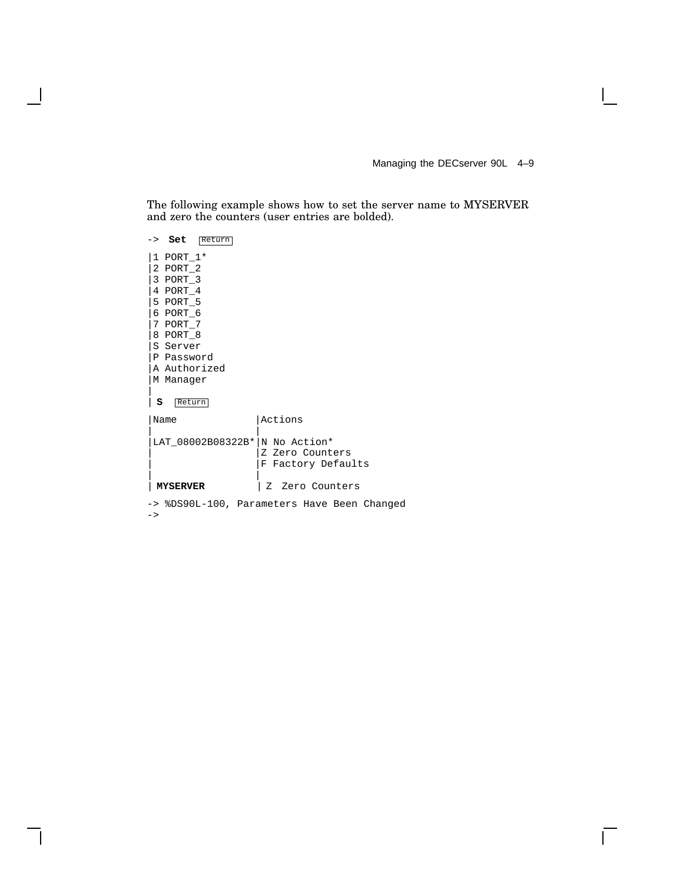Managing the DECserver 90L 4–9

 $\overline{\Gamma}$ 

The following example shows how to set the server name to MYSERVER and zero the counters (user entries are bolded).

|   | -> Set                                                                                                                                             | Return                                      |                                       |  |  |
|---|----------------------------------------------------------------------------------------------------------------------------------------------------|---------------------------------------------|---------------------------------------|--|--|
| s | $1$ PORT $1*$<br>2 PORT_2<br>3 PORT_3<br>4 PORT 4<br>5 PORT 5<br>6 PORT 6<br>7 PORT 7<br>8 PORT 8<br>S Server<br>P Password<br>M Manager<br>Return | A Authorized                                |                                       |  |  |
|   | Name                                                                                                                                               |                                             | Actions                               |  |  |
|   |                                                                                                                                                    | LAT 08002B08322B* N No Action*              | Z Zero Counters<br>F Factory Defaults |  |  |
|   | <b>MYSERVER</b>                                                                                                                                    |                                             | Z Zero Counters                       |  |  |
|   |                                                                                                                                                    | -> %DS90L-100, Parameters Have Been Changed |                                       |  |  |

 $->$ 

 $\overline{\phantom{a}}$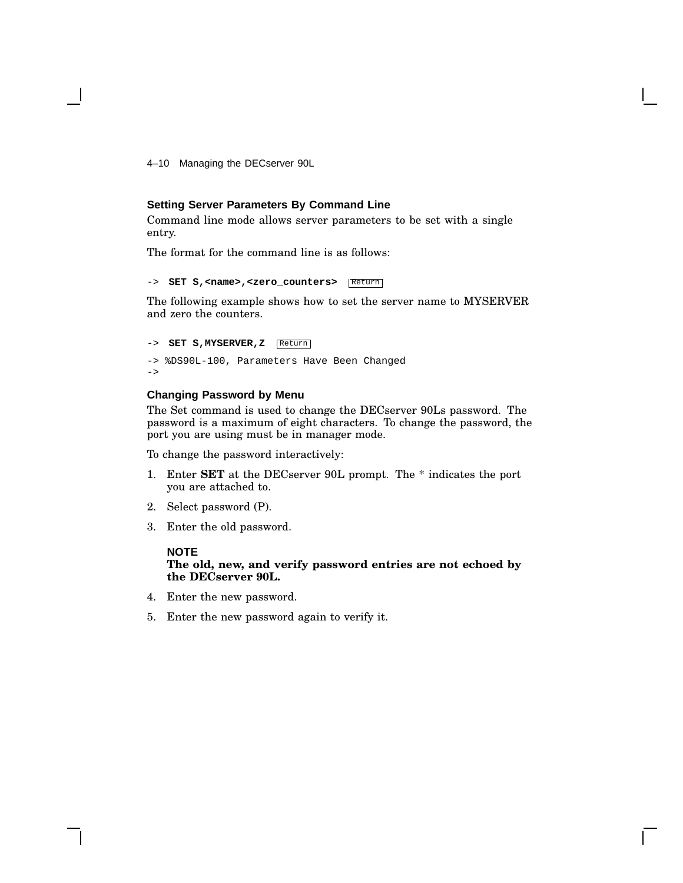4–10 Managing the DECserver 90L

#### **Setting Server Parameters By Command Line**

Command line mode allows server parameters to be set with a single entry.

The format for the command line is as follows:

```
-> SET S, <name>, <zero_counters> Return
```
The following example shows how to set the server name to MYSERVER and zero the counters.

```
-> SET S,MYSERVER,Z Return
-> %DS90L-100, Parameters Have Been Changed
->
```
#### **Changing Password by Menu**

The Set command is used to change the DECserver 90Ls password. The password is a maximum of eight characters. To change the password, the port you are using must be in manager mode.

To change the password interactively:

- 1. Enter **SET** at the DECserver 90L prompt. The \* indicates the port you are attached to.
- 2. Select password (P).
- 3. Enter the old password.

#### **NOTE**

**The old, new, and verify password entries are not echoed by the DECserver 90L.**

- 4. Enter the new password.
- 5. Enter the new password again to verify it.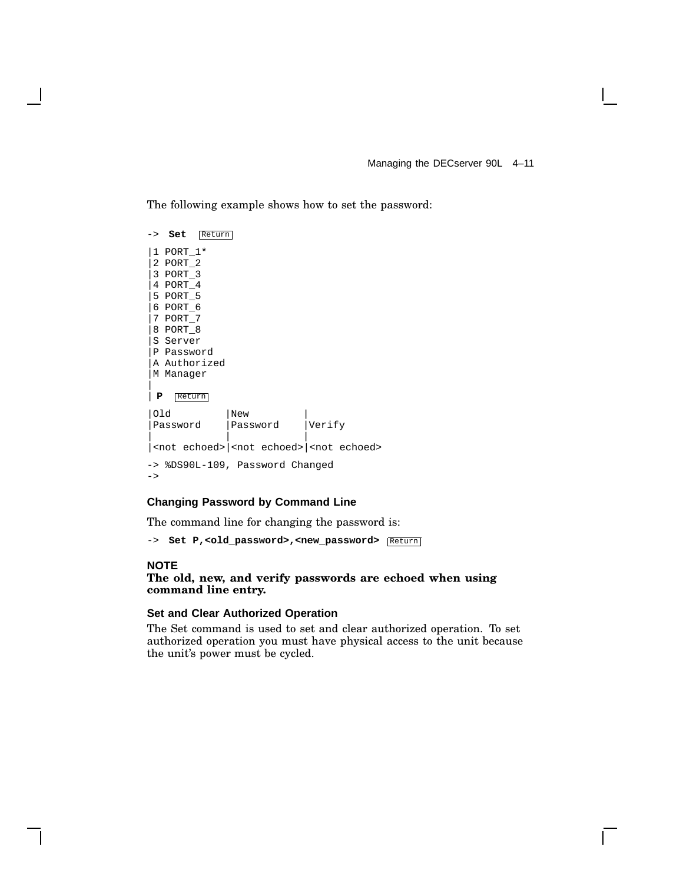The following example shows how to set the password:

|               | -> Set         | Return                          |          |  |        |                                                                   |  |
|---------------|----------------|---------------------------------|----------|--|--------|-------------------------------------------------------------------|--|
|               | 1 PORT 1*      |                                 |          |  |        |                                                                   |  |
|               | 2 PORT 2       |                                 |          |  |        |                                                                   |  |
|               | $ 3$ PORT $3$  |                                 |          |  |        |                                                                   |  |
|               | $ 4$ PORT 4    |                                 |          |  |        |                                                                   |  |
|               | 5 PORT_5       |                                 |          |  |        |                                                                   |  |
|               | $ 6$ PORT $6$  |                                 |          |  |        |                                                                   |  |
|               | $ 7$ PORT $-7$ |                                 |          |  |        |                                                                   |  |
|               | 8 PORT_8       |                                 |          |  |        |                                                                   |  |
|               | S Server       |                                 |          |  |        |                                                                   |  |
|               | P Password     |                                 |          |  |        |                                                                   |  |
|               |                | A Authorized                    |          |  |        |                                                                   |  |
|               | M Manager      |                                 |          |  |        |                                                                   |  |
|               |                |                                 |          |  |        |                                                                   |  |
| P             | Return         |                                 |          |  |        |                                                                   |  |
| 01d           |                |                                 | New      |  |        |                                                                   |  |
|               | Password       |                                 | Password |  | Verify |                                                                   |  |
|               |                |                                 |          |  |        |                                                                   |  |
|               |                |                                 |          |  |        | <not echoed=""> <not echoed=""> <not echoed=""></not></not></not> |  |
|               |                | -> %DS90L-109, Password Changed |          |  |        |                                                                   |  |
| $\rightarrow$ |                |                                 |          |  |        |                                                                   |  |
|               |                |                                 |          |  |        |                                                                   |  |

#### **Changing Password by Command Line**

The command line for changing the password is:

-> **Set P,<old\_password>,<new\_password>**  $\sqrt{\text{Return}}$ 

#### **NOTE**

#### **The old, new, and verify passwords are echoed when using command line entry.**

#### **Set and Clear Authorized Operation**

The Set command is used to set and clear authorized operation. To set authorized operation you must have physical access to the unit because the unit's power must be cycled.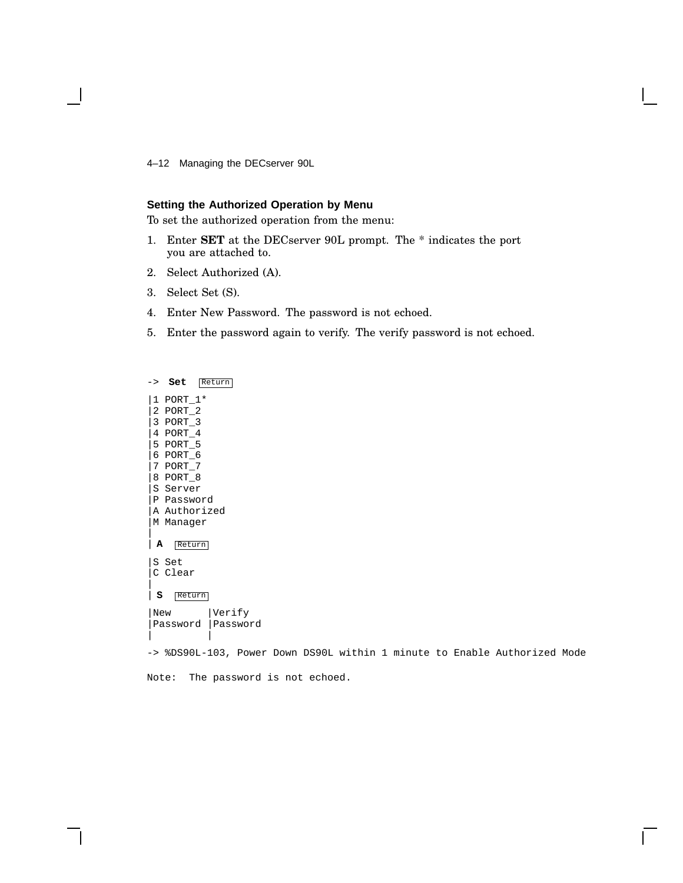4–12 Managing the DECserver 90L

#### **Setting the Authorized Operation by Menu**

To set the authorized operation from the menu:

- 1. Enter **SET** at the DECserver 90L prompt. The \* indicates the port you are attached to.
- 2. Select Authorized (A).
- 3. Select Set (S).
- 4. Enter New Password. The password is not echoed.
- 5. Enter the password again to verify. The verify password is not echoed.

-> **Set** Return |1 PORT\_1\* |2 PORT\_2 |3 PORT\_3 |4 PORT\_4 |5 PORT\_5 |6 PORT\_6 |7 PORT\_7 |8 PORT\_8 |S Server |P Password |A Authorized |M Manager | | **A** Return |S Set C Clear | | **S** Return |New |Verify |Password |Password | |

-> %DS90L-103, Power Down DS90L within 1 minute to Enable Authorized Mode

Note: The password is not echoed.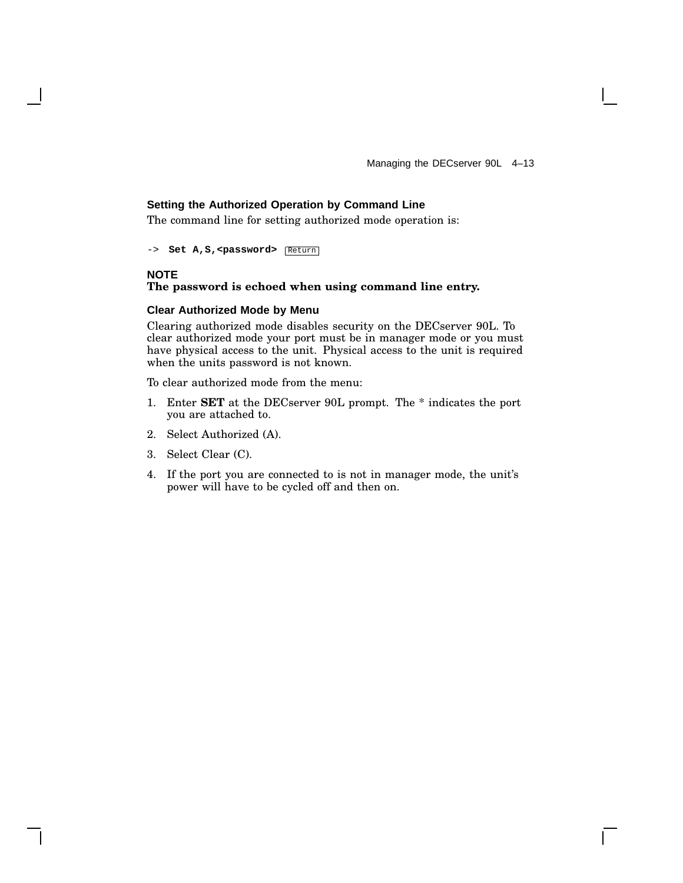#### **Setting the Authorized Operation by Command Line**

The command line for setting authorized mode operation is:

-> **Set A, S, <password>** Return

#### **NOTE**

#### **The password is echoed when using command line entry.**

#### **Clear Authorized Mode by Menu**

Clearing authorized mode disables security on the DECserver 90L. To clear authorized mode your port must be in manager mode or you must have physical access to the unit. Physical access to the unit is required when the units password is not known.

To clear authorized mode from the menu:

- 1. Enter **SET** at the DECserver 90L prompt. The \* indicates the port you are attached to.
- 2. Select Authorized (A).
- 3. Select Clear (C).
- 4. If the port you are connected to is not in manager mode, the unit's power will have to be cycled off and then on.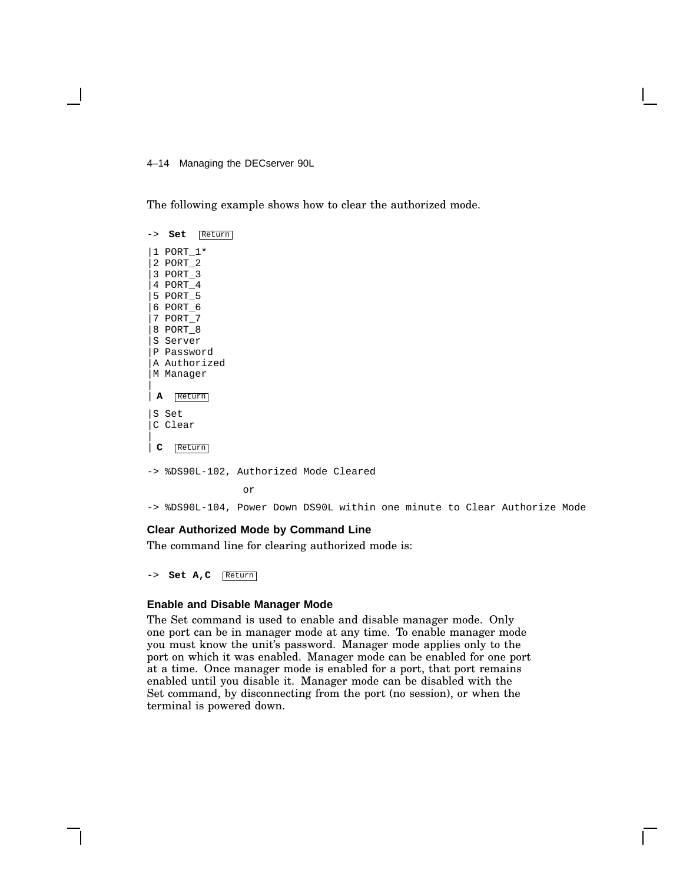4–14 Managing the DECserver 90L

The following example shows how to clear the authorized mode.



-> %DS90L-104, Power Down DS90L within one minute to Clear Authorize Mode

#### **Clear Authorized Mode by Command Line**

The command line for clearing authorized mode is:

-> **Set A,C** Return

#### **Enable and Disable Manager Mode**

The Set command is used to enable and disable manager mode. Only one port can be in manager mode at any time. To enable manager mode you must know the unit's password. Manager mode applies only to the port on which it was enabled. Manager mode can be enabled for one port at a time. Once manager mode is enabled for a port, that port remains enabled until you disable it. Manager mode can be disabled with the Set command, by disconnecting from the port (no session), or when the terminal is powered down.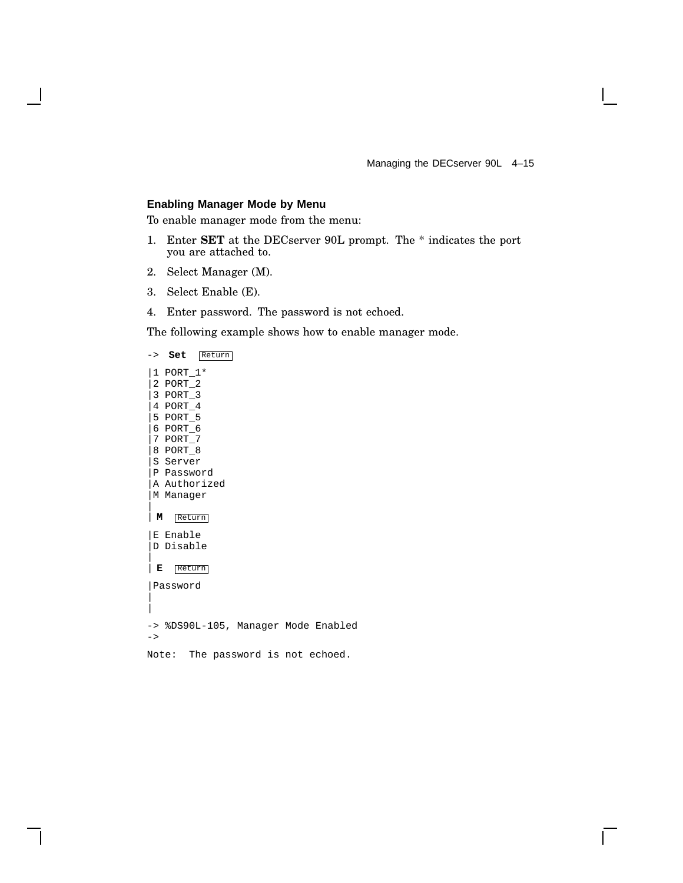$\mathbf{L}$ 

#### **Enabling Manager Mode by Menu**

To enable manager mode from the menu:

- 1. Enter **SET** at the DECserver 90L prompt. The \* indicates the port you are attached to.
- 2. Select Manager (M).
- 3. Select Enable (E).
- 4. Enter password. The password is not echoed.

The following example shows how to enable manager mode.

-> **Set** Return |1 PORT\_1\* |2 PORT\_2 |3 PORT\_3 |4 PORT\_4 |5 PORT\_5 |6 PORT\_6 |7 PORT\_7 |8 PORT\_8 |S Server |P Password |A Authorized |M Manager | | **M** Return |E Enable |D Disable | | **E** Return |Password | | -> %DS90L-105, Manager Mode Enabled  $\rightarrow$ Note: The password is not echoed.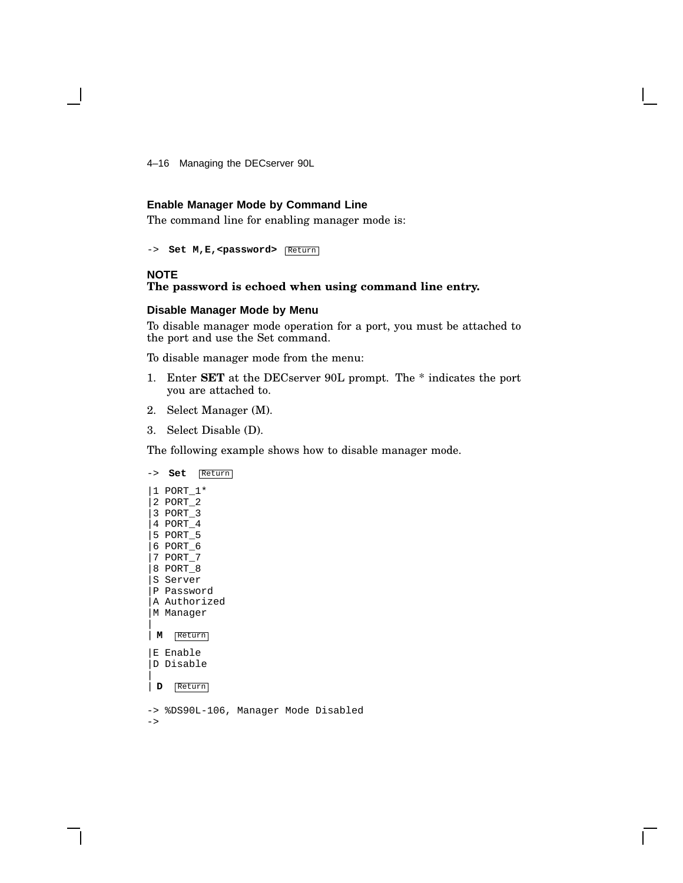4–16 Managing the DECserver 90L

#### **Enable Manager Mode by Command Line**

The command line for enabling manager mode is:

-> **Set M, E, <password>** Return

#### **NOTE**

#### **The password is echoed when using command line entry.**

#### **Disable Manager Mode by Menu**

To disable manager mode operation for a port, you must be attached to the port and use the Set command.

To disable manager mode from the menu:

- 1. Enter **SET** at the DECserver 90L prompt. The \* indicates the port you are attached to.
- 2. Select Manager (M).
- 3. Select Disable (D).

The following example shows how to disable manager mode.



 $\rightarrow$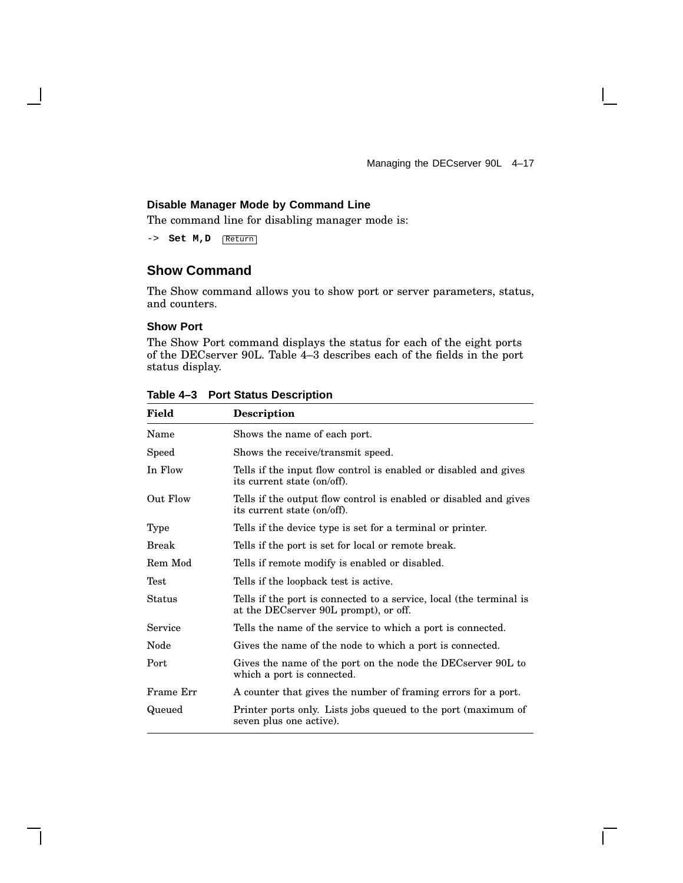Managing the DECserver 90L 4–17

 $\mathbf{I}$ 

#### **Disable Manager Mode by Command Line**

The command line for disabling manager mode is:

-> **Set M,D** Return

### **Show Command**

The Show command allows you to show port or server parameters, status, and counters.

#### **Show Port**

The Show Port command displays the status for each of the eight ports of the DECserver 90L. Table 4–3 describes each of the fields in the port status display.

| <b>Description</b>                                                                                           |
|--------------------------------------------------------------------------------------------------------------|
| Shows the name of each port.                                                                                 |
| Shows the receive/transmit speed.                                                                            |
| Tells if the input flow control is enabled or disabled and gives<br>its current state (on/off).              |
| Tells if the output flow control is enabled or disabled and gives<br>its current state (on/off).             |
| Tells if the device type is set for a terminal or printer.                                                   |
| Tells if the port is set for local or remote break.                                                          |
| Tells if remote modify is enabled or disabled.                                                               |
| Tells if the loopback test is active.                                                                        |
| Tells if the port is connected to a service, local (the terminal is<br>at the DECserver 90L prompt), or off. |
| Tells the name of the service to which a port is connected.                                                  |
| Gives the name of the node to which a port is connected.                                                     |
| Gives the name of the port on the node the DECserver 90L to<br>which a port is connected.                    |
| A counter that gives the number of framing errors for a port.                                                |
| Printer ports only. Lists jobs queued to the port (maximum of<br>seven plus one active).                     |
|                                                                                                              |

#### **Table 4–3 Port Status Description**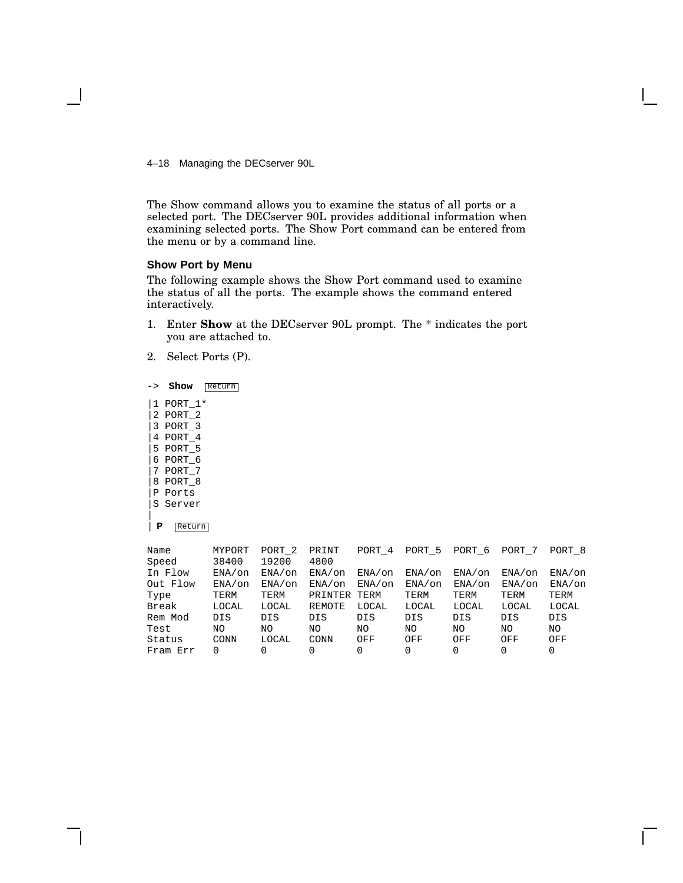4–18 Managing the DECserver 90L

The Show command allows you to examine the status of all ports or a selected port. The DECserver 90L provides additional information when examining selected ports. The Show Port command can be entered from the menu or by a command line.

#### **Show Port by Menu**

The following example shows the Show Port command used to examine the status of all the ports. The example shows the command entered interactively.

- 1. Enter **Show** at the DECserver 90L prompt. The \* indicates the port you are attached to.
- 2. Select Ports (P).
- -> **Show** Return |1 PORT\_1\* |2 PORT\_2 |3 PORT\_3 |4 PORT\_4 |5 PORT\_5 |6 PORT\_6 |7 PORT\_7 |8 PORT\_8 |P Ports |S Server | | **P** Return

| Name     | MYPORT    | PORT <sub>2</sub> | PRINT     | PORT 4    | PORT 5     | PORT 6    | PORT 7    | PORT <sub>8</sub> |
|----------|-----------|-------------------|-----------|-----------|------------|-----------|-----------|-------------------|
| Speed    | 38400     | 19200             | 4800      |           |            |           |           |                   |
| In Flow  | $ENA/$ on | $ENA/$ on         | $ENA/$ on | $ENA/$ on | $ENA/$ on  | $ENA/$ on | $ENA/$ on | $ENA/$ on         |
| Out Flow | ENA/on    | ENA/on            | $ENA/$ on | $ENA/$ on | $ENA/$ on  | ENA/on    | $ENA/$ on | ENA/on            |
| Type     | TERM      | TERM              | PRINTER   | TERM      | TERM       | TERM      | TERM      | TERM              |
| Break    | LOCAL     | LOCAL             | REMOTE    | LOCAL     | LOCAL      | LOCAL     | LOCAL     | LOCAL             |
| Rem Mod  | DIS       | DIS               | DIS       | DIS       | <b>DIS</b> | DIS       | DIS       | DIS               |
| Test     | NO        | NO                | ΝO        | NΟ        | ΝO         | NΟ        | ΝO        | NO.               |
| Status   | CONN      | LOCAL             | CONN      | OFF       | OFF        | OFF       | OFF       | OFF               |
| Fram Err | 0         | 0                 | 0         | 0         | 0          | 0         | $\Omega$  | 0                 |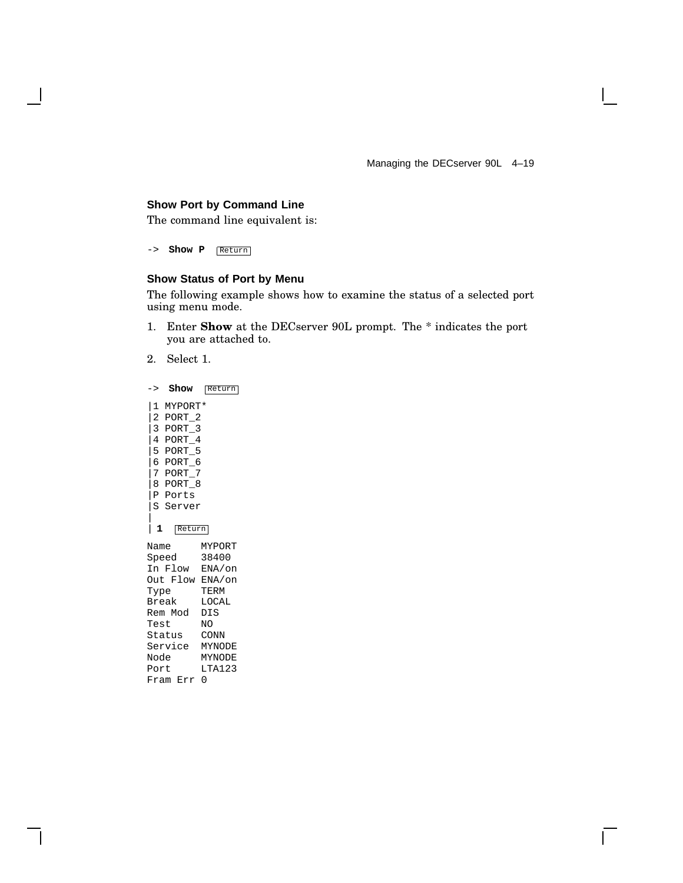Managing the DECserver 90L 4–19

 $\mathbf{L}$ 

#### **Show Port by Command Line**

The command line equivalent is:

-> **Show P** Return

 $\mathbf{I}$ 

#### **Show Status of Port by Menu**

The following example shows how to examine the status of a selected port using menu mode.

- 1. Enter **Show** at the DECserver 90L prompt. The \* indicates the port you are attached to.
- 2. Select 1.

|   |       |          | -> Show             | Return          |  |  |  |  |
|---|-------|----------|---------------------|-----------------|--|--|--|--|
|   |       |          | 1 MYPORT*           |                 |  |  |  |  |
|   |       |          | 2 PORT_2            |                 |  |  |  |  |
|   |       |          | 3 PORT <sub>3</sub> |                 |  |  |  |  |
|   |       | 4 PORT_4 |                     |                 |  |  |  |  |
|   |       |          | 5 PORT_5            |                 |  |  |  |  |
|   |       |          | 6 PORT_6            |                 |  |  |  |  |
|   |       |          | 7 PORT_7            |                 |  |  |  |  |
|   |       |          | 8 PORT_8            |                 |  |  |  |  |
|   |       |          | P Ports             |                 |  |  |  |  |
|   |       |          | S Server            |                 |  |  |  |  |
| I |       |          |                     |                 |  |  |  |  |
|   | 1     |          | Return              |                 |  |  |  |  |
|   | Name  |          |                     | MYPORT          |  |  |  |  |
|   | Speed |          |                     | 38400           |  |  |  |  |
|   |       |          |                     | In Flow ENA/on  |  |  |  |  |
|   |       |          |                     | Out Flow ENA/on |  |  |  |  |
|   | Type  |          |                     | TERM            |  |  |  |  |
|   | Break |          |                     | LOCAL           |  |  |  |  |
|   |       |          | Rem Mod DIS         |                 |  |  |  |  |
|   | Test  |          |                     | NO.             |  |  |  |  |
|   |       |          | Status              | CONN            |  |  |  |  |
|   |       |          |                     | Service MYNODE  |  |  |  |  |
|   | Node  |          |                     | <b>MYNODE</b>   |  |  |  |  |
|   | Port  |          |                     | LTA123          |  |  |  |  |
|   |       |          | Fram Err            | 0               |  |  |  |  |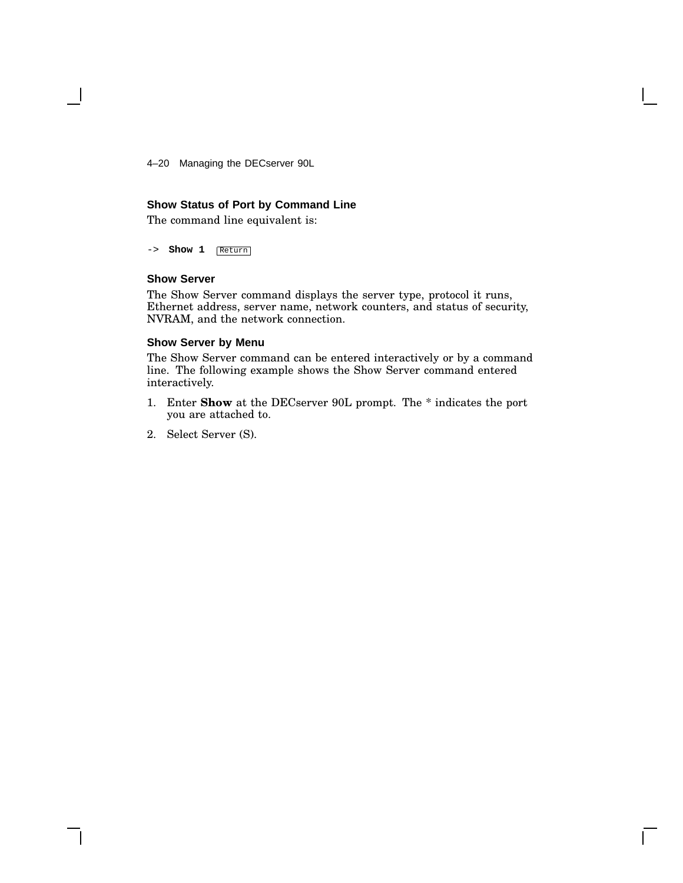4–20 Managing the DECserver 90L

#### **Show Status of Port by Command Line**

The command line equivalent is:

-> **Show 1** Return

#### **Show Server**

The Show Server command displays the server type, protocol it runs, Ethernet address, server name, network counters, and status of security, NVRAM, and the network connection.

#### **Show Server by Menu**

The Show Server command can be entered interactively or by a command line. The following example shows the Show Server command entered interactively.

- 1. Enter **Show** at the DECserver 90L prompt. The \* indicates the port you are attached to.
- 2. Select Server (S).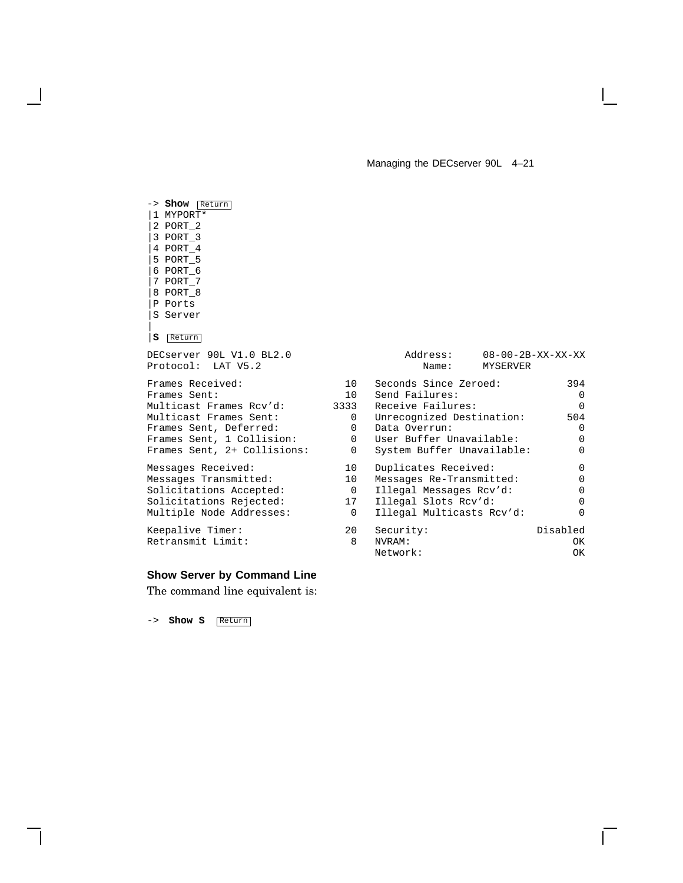#### Managing the DECserver 90L 4–21

-> **Show** Return |1 MYPORT\* |2 PORT\_2 |3 PORT\_3 |4 PORT\_4 |5 PORT\_5 |6 PORT\_6 |7 PORT\_7 |8 PORT\_8 |P Ports |S Server | |**S** Return DECserver 90L V1.0 BL2.0 Protocol: LAT V5.2 Frames Received: 10<br>Frames Sent: 3944 10 Frames Sent: 10<br>Multicast Frames Rcv'd: 3333 Multicast Frames Rcv'd: Multicast Frames Sent: 0 Frames Sent, Deferred: 0 Frames Sent, 1 Collision: 0 Frames Sent, 2+ Collisions: 0 Messages Received: 10 Messages Transmitted: 10 Solicitations Accepted: 0<br>Solicitations Rejected: 0<br>17 Solicitations Rejected: Multiple Node Addresses: 0 Keepalive Timer: 20<br>Retransmit Limit: 8

Retransmit Limit:

#### **Show Server by Command Line**

The command line equivalent is:

-> **Show S** Return

| Address:<br>Name:          | MYSERVER | $08 - 00 - 2B - XX - XX - XX$ |
|----------------------------|----------|-------------------------------|
| Seconds Since Zeroed:      |          | 394                           |
| Send Failures:             |          | 0                             |
| Receive Failures:          |          | U                             |
| Unrecognized Destination:  |          | 504                           |
| Data Overrun:              |          | 0                             |
| User Buffer Unavailable:   |          | 0                             |
| System Buffer Unavailable: |          | 0                             |
| Duplicates Received:       |          | 0                             |
| Messages Re-Transmitted:   |          | 0                             |
| Illegal Messages Rcv'd:    |          | 0                             |
| Illegal Slots Rcv'd:       |          | 0                             |
| Illegal Multicasts Rcv'd:  |          | U                             |
| Security:                  |          | Disabled                      |
| NVRAM:                     |          | OΚ                            |
| Network:                   |          | OΚ                            |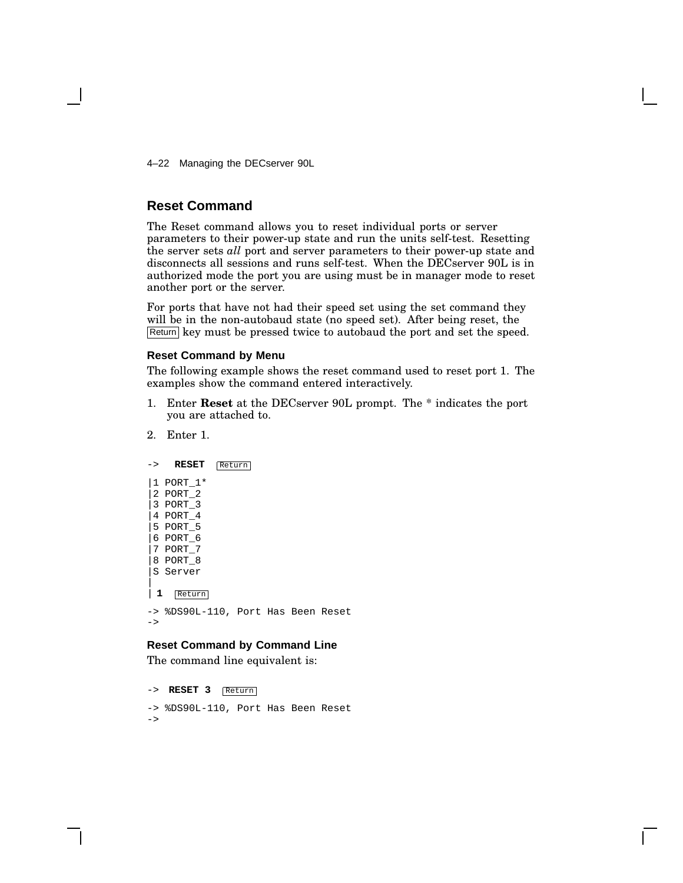4–22 Managing the DECserver 90L

#### **Reset Command**

The Reset command allows you to reset individual ports or server parameters to their power-up state and run the units self-test. Resetting the server sets *all* port and server parameters to their power-up state and disconnects all sessions and runs self-test. When the DECserver 90L is in authorized mode the port you are using must be in manager mode to reset another port or the server.

For ports that have not had their speed set using the set command they will be in the non-autobaud state (no speed set). After being reset, the Return key must be pressed twice to autobaud the port and set the speed.

#### **Reset Command by Menu**

The following example shows the reset command used to reset port 1. The examples show the command entered interactively.

- 1. Enter **Reset** at the DECserver 90L prompt. The \* indicates the port you are attached to.
- 2. Enter 1.

```
-> RESET Return
|1 PORT_1*
|2 PORT_2
|3 PORT_3
|4 PORT_4
|5 PORT_5
|6 PORT_6
|7 PORT_7
|8 PORT_8
|S Server
|
| 1 Return
-> %DS90L-110, Port Has Been Reset
\rightarrow
```
#### **Reset Command by Command Line**

The command line equivalent is:

```
-> RESET 3 Return
```
-> %DS90L-110, Port Has Been Reset ->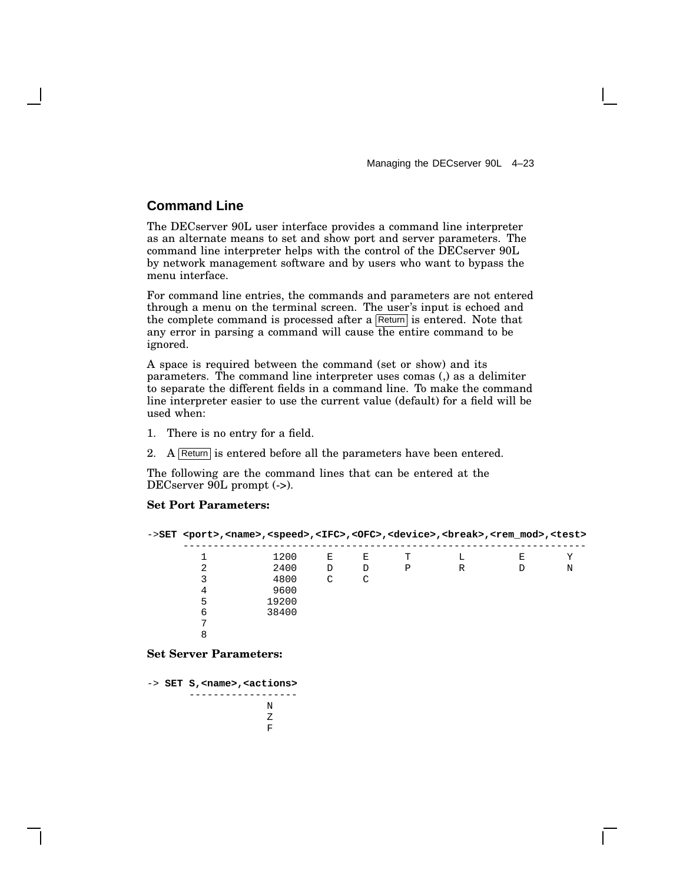### **Command Line**

The DECserver 90L user interface provides a command line interpreter as an alternate means to set and show port and server parameters. The command line interpreter helps with the control of the DECserver 90L by network management software and by users who want to bypass the menu interface.

For command line entries, the commands and parameters are not entered through a menu on the terminal screen. The user's input is echoed and the complete command is processed after a  $\sqrt{\text{Return}}$  is entered. Note that any error in parsing a command will cause the entire command to be ignored.

A space is required between the command (set or show) and its parameters. The command line interpreter uses comas (,) as a delimiter to separate the different fields in a command line. To make the command line interpreter easier to use the current value (default) for a field will be used when:

- 1. There is no entry for a field.
- 2. A Return is entered before all the parameters have been entered.

The following are the command lines that can be entered at the DECserver 90L prompt (->).

#### **Set Port Parameters:**

|   | ->SET <port>,<name>,<speed>,<ifc>,<ofc>,<device>,<br/>&gt;break&gt;,<rem_mod>,<test></test></rem_mod></device></ofc></ifc></speed></name></port> |   |   |   |   |   |   |
|---|--------------------------------------------------------------------------------------------------------------------------------------------------|---|---|---|---|---|---|
|   | 1200                                                                                                                                             | Е | E | т |   | Ε |   |
|   | 2400                                                                                                                                             | D | D | P | R |   | N |
|   | 4800                                                                                                                                             | C | C |   |   |   |   |
| 4 | 9600                                                                                                                                             |   |   |   |   |   |   |
| 5 | 19200                                                                                                                                            |   |   |   |   |   |   |
| 6 | 38400                                                                                                                                            |   |   |   |   |   |   |
|   |                                                                                                                                                  |   |   |   |   |   |   |
| 8 |                                                                                                                                                  |   |   |   |   |   |   |
|   |                                                                                                                                                  |   |   |   |   |   |   |

**Set Server Parameters:**

-> **SET S,<name>,<actions>** ------------------ N Z F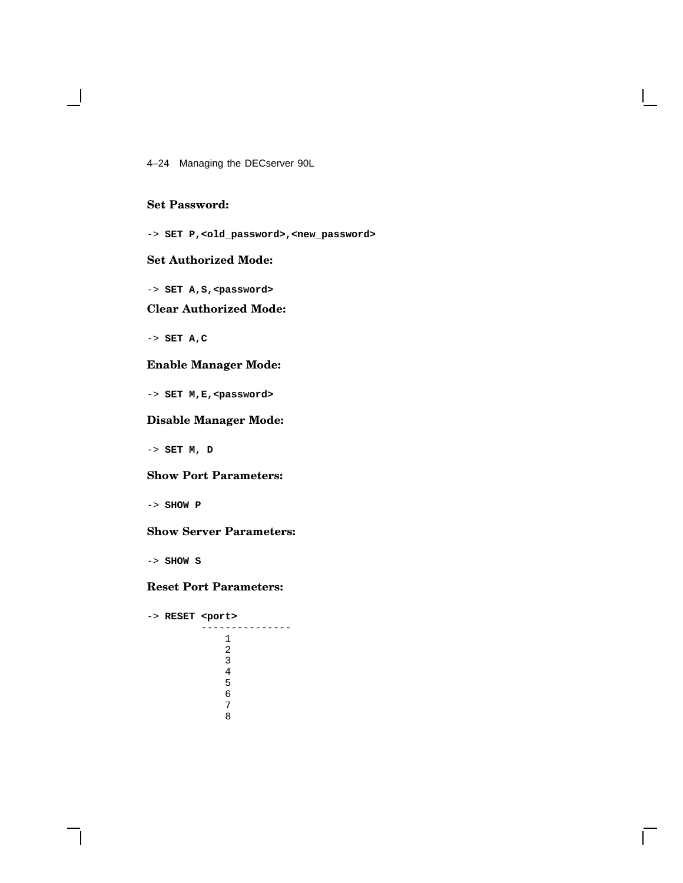4–24 Managing the DECserver 90L

#### **Set Password:**

-> **SET P,<old\_password>,<new\_password>**

#### **Set Authorized Mode:**

-> **SET A,S,<password>**

#### **Clear Authorized Mode:**

-> **SET A,C**

#### **Enable Manager Mode:**

-> **SET M,E,<password>**

#### **Disable Manager Mode:**

-> **SET M, D**

#### **Show Port Parameters:**

-> **SHOW P**

#### **Show Server Parameters:**

-> **SHOW S**

#### **Reset Port Parameters:**

-> **RESET <port>** --------------- 1 2 3 4 5 6 7 8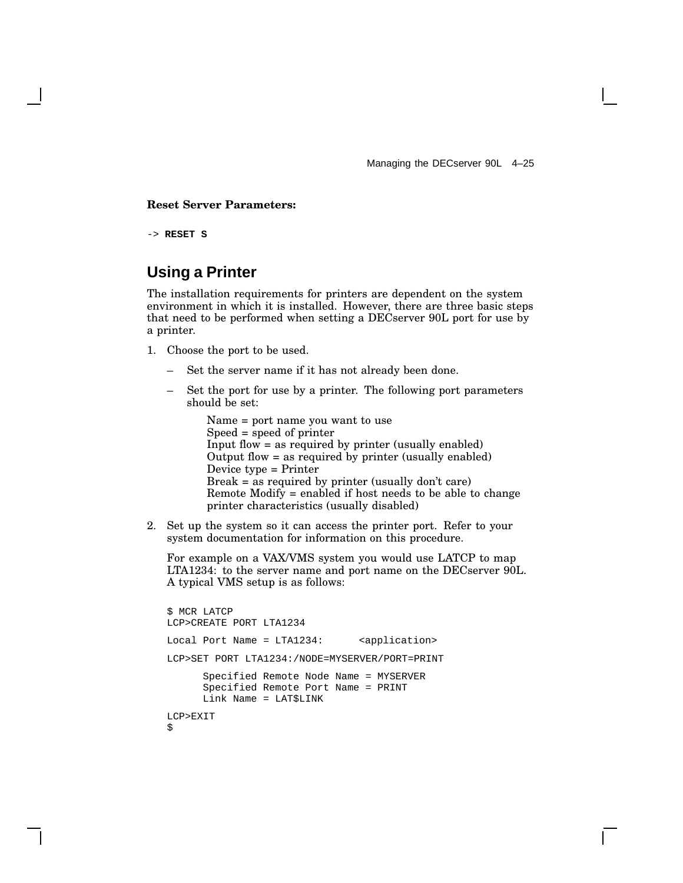#### **Reset Server Parameters:**

-> **RESET S**

## **Using a Printer**

The installation requirements for printers are dependent on the system environment in which it is installed. However, there are three basic steps that need to be performed when setting a DECserver 90L port for use by a printer.

- 1. Choose the port to be used.
	- Set the server name if it has not already been done.
	- Set the port for use by a printer. The following port parameters should be set:

Name = port name you want to use Speed = speed of printer Input flow = as required by printer (usually enabled) Output flow = as required by printer (usually enabled) Device type = Printer Break = as required by printer (usually don't care) Remote Modify = enabled if host needs to be able to change printer characteristics (usually disabled)

2. Set up the system so it can access the printer port. Refer to your system documentation for information on this procedure.

For example on a VAX/VMS system you would use LATCP to map LTA1234: to the server name and port name on the DECserver 90L. A typical VMS setup is as follows:

```
$ MCR LATCP
LCP>CREATE PORT LTA1234
Local Port Name = LTA1234: <application>
LCP>SET PORT LTA1234:/NODE=MYSERVER/PORT=PRINT
      Specified Remote Node Name = MYSERVER
     Specified Remote Port Name = PRINT
     Link Name = LAT$LINK
LCP>EXIT
$
```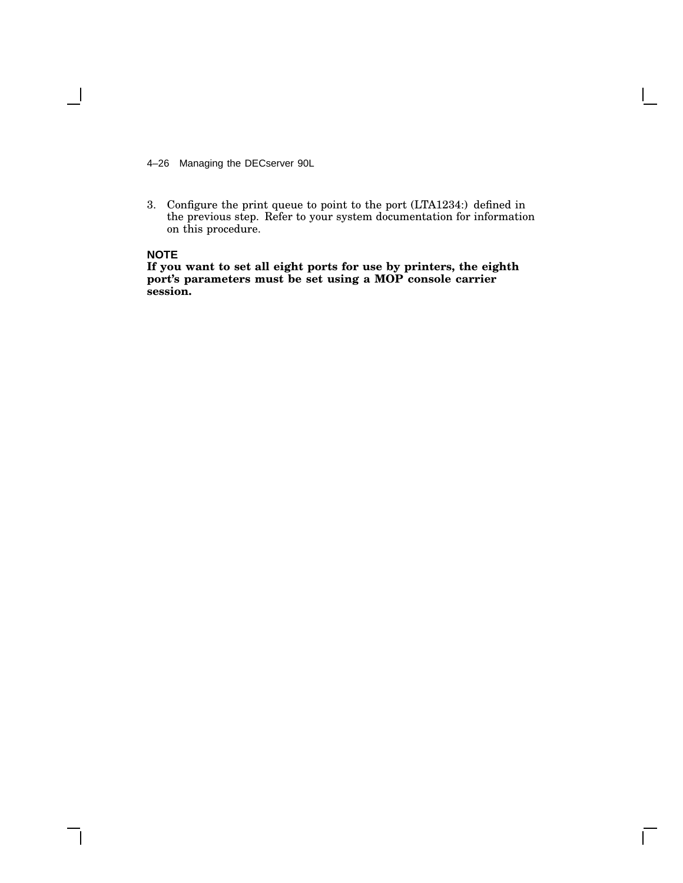4–26 Managing the DECserver 90L

3. Configure the print queue to point to the port (LTA1234:) defined in the previous step. Refer to your system documentation for information on this procedure.

#### **NOTE**

**If you want to set all eight ports for use by printers, the eighth port's parameters must be set using a MOP console carrier session.**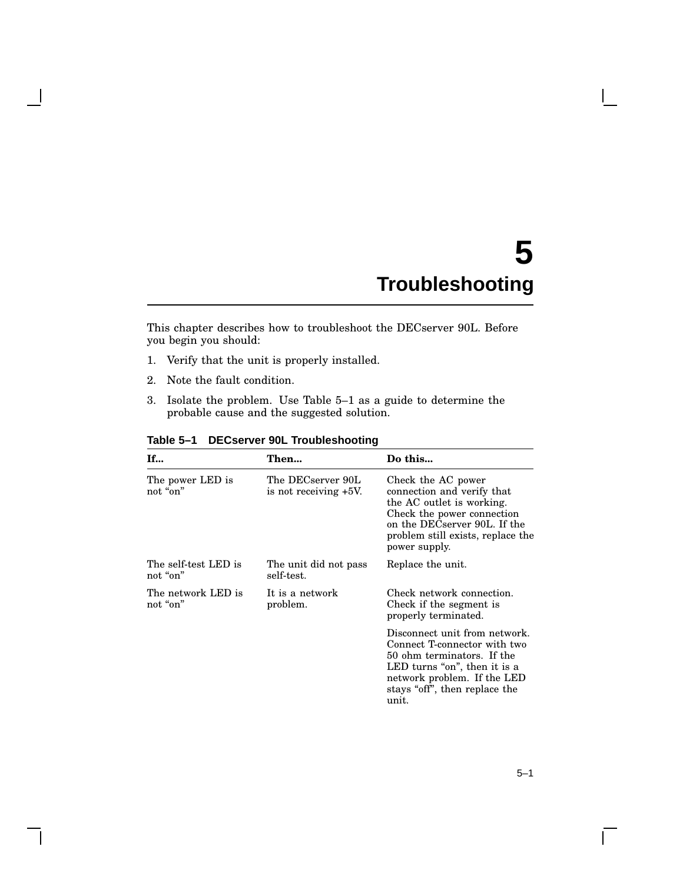# **5 Troubleshooting**

This chapter describes how to troubleshoot the DECserver 90L. Before you begin you should:

- 1. Verify that the unit is properly installed.
- 2. Note the fault condition.
- 3. Isolate the problem. Use Table 5–1 as a guide to determine the probable cause and the suggested solution.

| If                               | Then                                          | Do this                                                                                                                                                                                              |
|----------------------------------|-----------------------------------------------|------------------------------------------------------------------------------------------------------------------------------------------------------------------------------------------------------|
| The power LED is<br>not "on"     | The DECserver 90L<br>is not receiving $+5V$ . | Check the AC power<br>connection and verify that<br>the AC outlet is working.<br>Check the power connection<br>on the DECserver 90L. If the<br>problem still exists, replace the<br>power supply.    |
| The self-test LED is<br>not "on" | The unit did not pass<br>self-test.           | Replace the unit.                                                                                                                                                                                    |
| The network LED is<br>not "on"   | It is a network<br>problem.                   | Check network connection.<br>Check if the segment is<br>properly terminated.                                                                                                                         |
|                                  |                                               | Disconnect unit from network.<br>Connect T-connector with two<br>50 ohm terminators. If the<br>LED turns "on", then it is a<br>network problem. If the LED<br>stays "off", then replace the<br>unit. |

**Table 5–1 DECserver 90L Troubleshooting**

 $\mathsf{L}$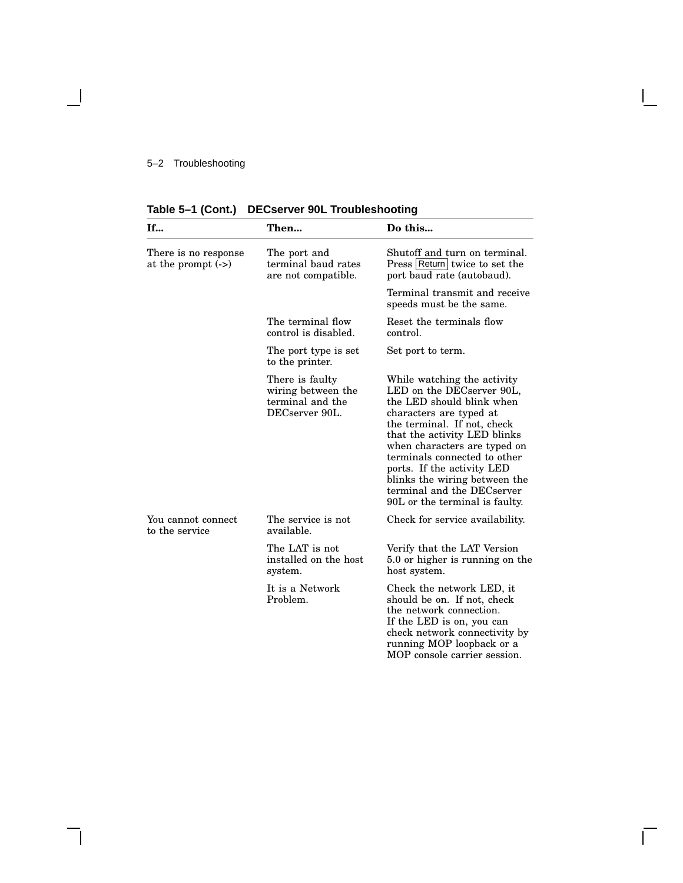#### 5–2 Troubleshooting

 $\blacksquare$ 

**Table 5–1 (Cont.) DECserver 90L Troubleshooting**

| If                                          | Then                                                                        | Do this                                                                                                                                                                                                                                                                                                                                                                        |
|---------------------------------------------|-----------------------------------------------------------------------------|--------------------------------------------------------------------------------------------------------------------------------------------------------------------------------------------------------------------------------------------------------------------------------------------------------------------------------------------------------------------------------|
| There is no response<br>at the prompt $(-)$ | The port and<br>terminal baud rates<br>are not compatible.                  | Shutoff and turn on terminal.<br>Press Return twice to set the<br>port baud rate (autobaud).                                                                                                                                                                                                                                                                                   |
|                                             |                                                                             | Terminal transmit and receive<br>speeds must be the same.                                                                                                                                                                                                                                                                                                                      |
|                                             | The terminal flow<br>control is disabled.                                   | Reset the terminals flow<br>control.                                                                                                                                                                                                                                                                                                                                           |
|                                             | The port type is set<br>to the printer.                                     | Set port to term.                                                                                                                                                                                                                                                                                                                                                              |
|                                             | There is faulty<br>wiring between the<br>terminal and the<br>DECserver 90L. | While watching the activity<br>LED on the DECserver 90L,<br>the LED should blink when<br>characters are typed at<br>the terminal. If not, check<br>that the activity LED blinks<br>when characters are typed on<br>terminals connected to other<br>ports. If the activity LED<br>blinks the wiring between the<br>terminal and the DECserver<br>90L or the terminal is faulty. |
| You cannot connect<br>to the service        | The service is not<br>available.                                            | Check for service availability.                                                                                                                                                                                                                                                                                                                                                |
|                                             | The LAT is not<br>installed on the host<br>system.                          | Verify that the LAT Version<br>5.0 or higher is running on the<br>host system.                                                                                                                                                                                                                                                                                                 |
|                                             | It is a Network<br>Problem.                                                 | Check the network LED, it<br>should be on. If not, check<br>the network connection.<br>If the LED is on, you can<br>check network connectivity by<br>running MOP loopback or a<br>MOP console carrier session.                                                                                                                                                                 |

Ē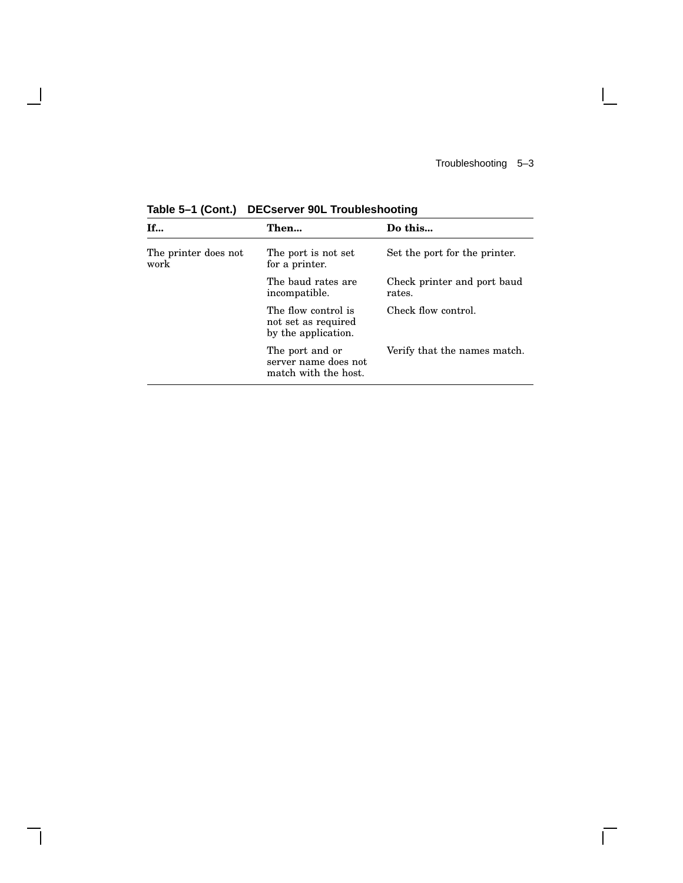$\mathbf{I}$ 

 $\overline{\Gamma}$ 

| If…                          | Then                                                              | Do this                               |
|------------------------------|-------------------------------------------------------------------|---------------------------------------|
| The printer does not<br>work | The port is not set<br>for a printer.                             | Set the port for the printer.         |
|                              | The baud rates are<br>incompatible.                               | Check printer and port baud<br>rates. |
|                              | The flow control is<br>not set as required<br>by the application. | Check flow control.                   |
|                              | The port and or<br>server name does not<br>match with the host.   | Verify that the names match.          |

**Table 5–1 (Cont.) DECserver 90L Troubleshooting**

 $\blacksquare$ 

 $\mathbf{I}$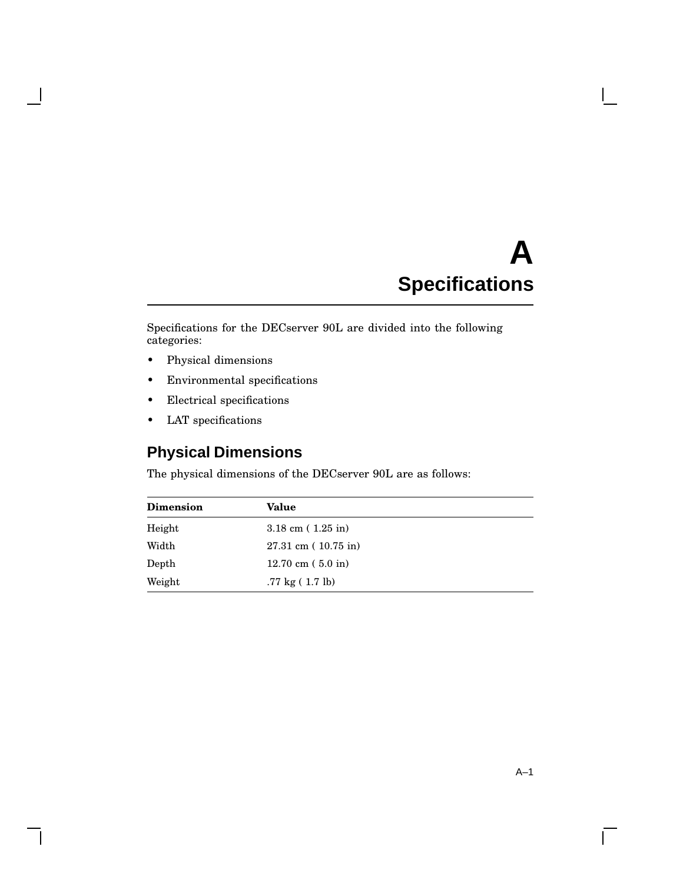# **A Specifications**

Specifications for the DECserver 90L are divided into the following categories:

• Physical dimensions

 $\overline{\phantom{a}}$ 

- Environmental specifications
- Electrical specifications
- LAT specifications

## **Physical Dimensions**

The physical dimensions of the DECserver 90L are as follows:

| <b>Dimension</b> | Value                                     |  |
|------------------|-------------------------------------------|--|
| Height           | $3.18 \text{ cm}$ (1.25 in)               |  |
| Width            | $27.31 \text{ cm}$ ( $10.75 \text{ in}$ ) |  |
| Depth            | $12.70 \text{ cm}$ (5.0 in)               |  |
| Weight           | $.77 \text{ kg} (1.7 \text{ lb})$         |  |

 $\overline{\Gamma}$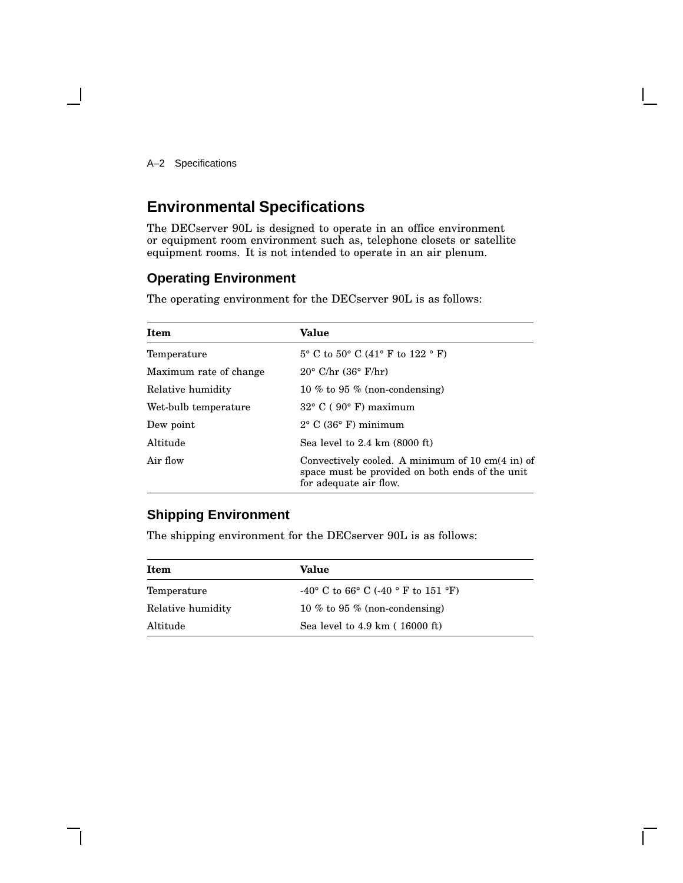A–2 Specifications

## **Environmental Specifications**

The DECserver 90L is designed to operate in an office environment or equipment room environment such as, telephone closets or satellite equipment rooms. It is not intended to operate in an air plenum.

## **Operating Environment**

The operating environment for the DECserver 90L is as follows:

| <b>Item</b>            | <b>Value</b>                                                                                                                             |
|------------------------|------------------------------------------------------------------------------------------------------------------------------------------|
| Temperature            | $5^{\circ}$ C to $50^{\circ}$ C (41° F to 122 ° F)                                                                                       |
| Maximum rate of change | $20^{\circ}$ C/hr $(36^{\circ}$ F/hr)                                                                                                    |
| Relative humidity      | 10 % to 95 % (non-condensing)                                                                                                            |
| Wet-bulb temperature   | $32^{\circ}$ C (90 $^{\circ}$ F) maximum                                                                                                 |
| Dew point              | $2^{\circ}$ C (36 $^{\circ}$ F) minimum                                                                                                  |
| Altitude               | Sea level to $2.4 \text{ km}$ (8000 ft)                                                                                                  |
| Air flow               | Convectively cooled. A minimum of 10 cm $(4 \text{ in})$ of<br>space must be provided on both ends of the unit<br>for adequate air flow. |

## **Shipping Environment**

The shipping environment for the DECserver 90L is as follows:

| Item              | Value                                                |  |
|-------------------|------------------------------------------------------|--|
| Temperature       | -40° C to 66° C (-40 ° F to 151 °F)                  |  |
| Relative humidity | 10 % to 95 % (non-condensing)                        |  |
| Altitude          | Sea level to $4.9 \text{ km}$ ( $16000 \text{ ft}$ ) |  |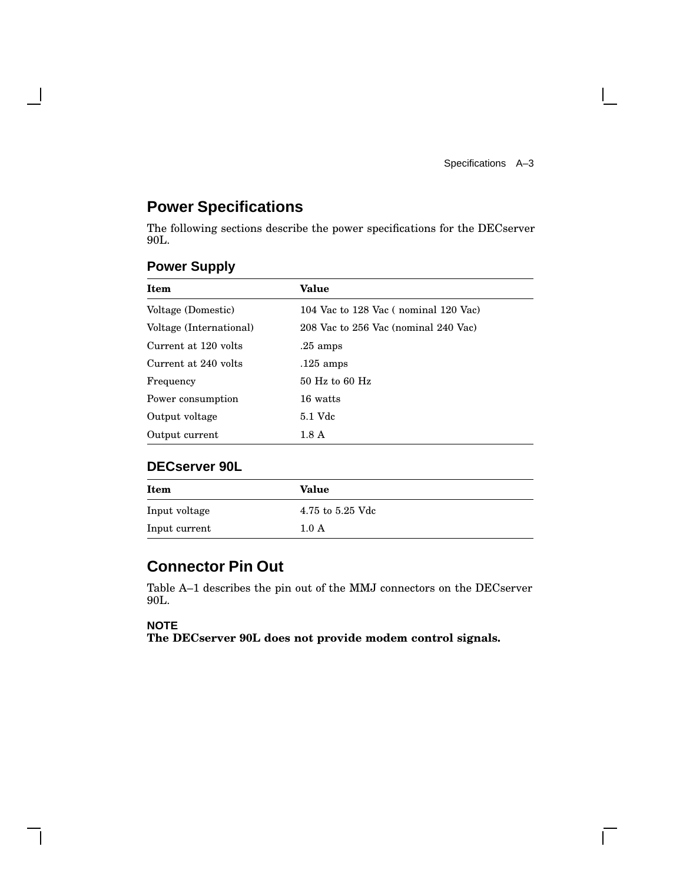$\mathbf{L}$ 

## **Power Specifications**

The following sections describe the power specifications for the DECserver 90L.

| Value                                |
|--------------------------------------|
| 104 Vac to 128 Vac (nominal 120 Vac) |
| 208 Vac to 256 Vac (nominal 240 Vac) |
| $.25 \text{ amps}$                   |
| $.125$ amps                          |
| $50$ Hz to 60 Hz                     |
| 16 watts                             |
| 5.1 Vdc                              |
| 1.8A                                 |
|                                      |

## **Power Supply**

 $\mathbf l$ 

### **DECserver 90L**

| Item          | Value            |
|---------------|------------------|
| Input voltage | 4.75 to 5.25 Vdc |
| Input current | 1.0 A            |

## **Connector Pin Out**

Table A–1 describes the pin out of the MMJ connectors on the DECserver 90L.

#### **NOTE**

**The DECserver 90L does not provide modem control signals.**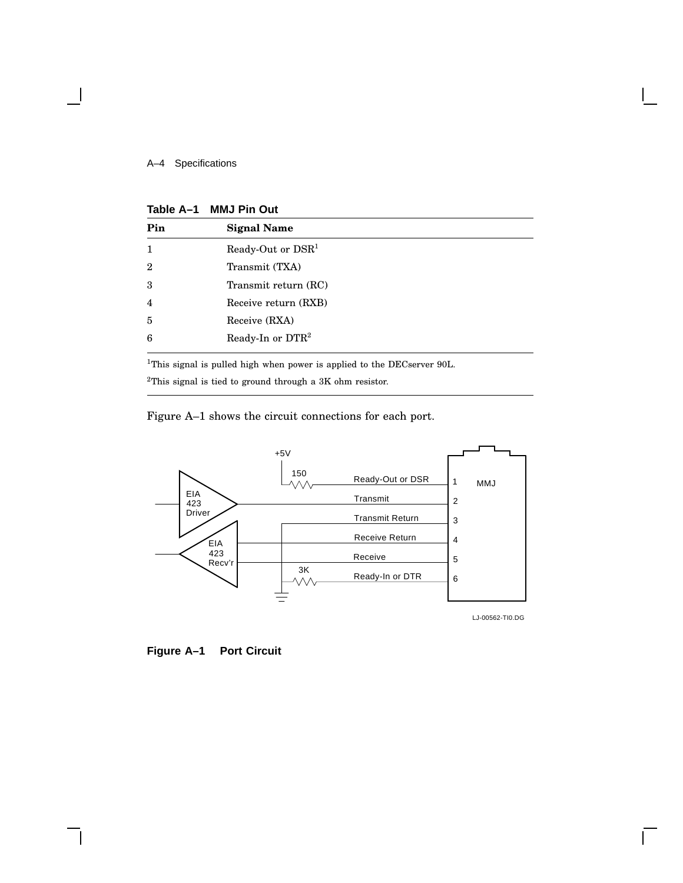#### A–4 Specifications

#### **Table A–1 MMJ Pin Out**

| Pin            | <b>Signal Name</b>           |
|----------------|------------------------------|
| 1              | Ready-Out or $DSR1$          |
| $\overline{2}$ | Transmit (TXA)               |
| 3              | Transmit return (RC)         |
| $\overline{4}$ | Receive return (RXB)         |
| 5              | Receive (RXA)                |
| 6              | Ready-In or DTR <sup>2</sup> |

<sup>1</sup>This signal is pulled high when power is applied to the DECserver 90L.

<sup>2</sup>This signal is tied to ground through a 3K ohm resistor.

Figure A–1 shows the circuit connections for each port.



**Figure A–1 Port Circuit**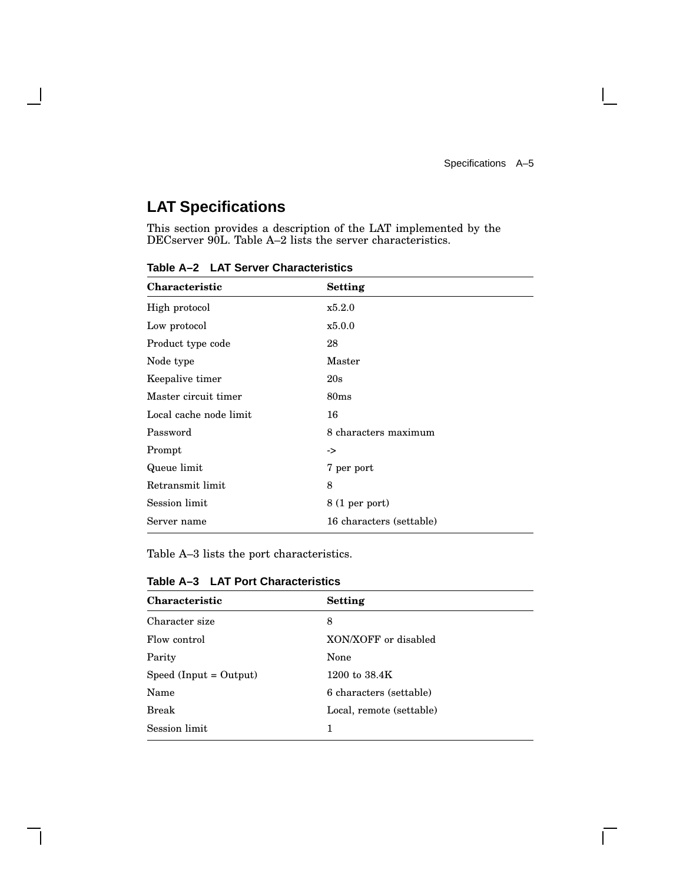$\overline{\Gamma}$ 

## **LAT Specifications**

 $\mathbf l$ 

This section provides a description of the LAT implemented by the DECserver 90L. Table A–2 lists the server characteristics.

| <b>Characteristic</b>  | Setting                  |
|------------------------|--------------------------|
| High protocol          | x5.2.0                   |
| Low protocol           | x5.0.0                   |
| Product type code      | 28                       |
| Node type              | Master                   |
| Keepalive timer        | 20s                      |
| Master circuit timer   | 80 <sub>ms</sub>         |
| Local cache node limit | 16                       |
| Password               | 8 characters maximum     |
| Prompt                 | ->                       |
| Queue limit            | 7 per port               |
| Retransmit limit       | 8                        |
| Session limit          | 8 (1 per port)           |
| Server name            | 16 characters (settable) |

**Table A–2 LAT Server Characteristics**

Table A–3 lists the port characteristics.

| Table A-3 LAT Port Characteristics |  |
|------------------------------------|--|
|------------------------------------|--|

| Characteristic         | <b>Setting</b>           |
|------------------------|--------------------------|
| Character size         | 8                        |
| Flow control           | XON/XOFF or disabled     |
| Parity                 | None                     |
| Speed (Input = Output) | 1200 to $38.4K$          |
| Name                   | 6 characters (settable)  |
| <b>Break</b>           | Local, remote (settable) |
| Session limit          |                          |
|                        |                          |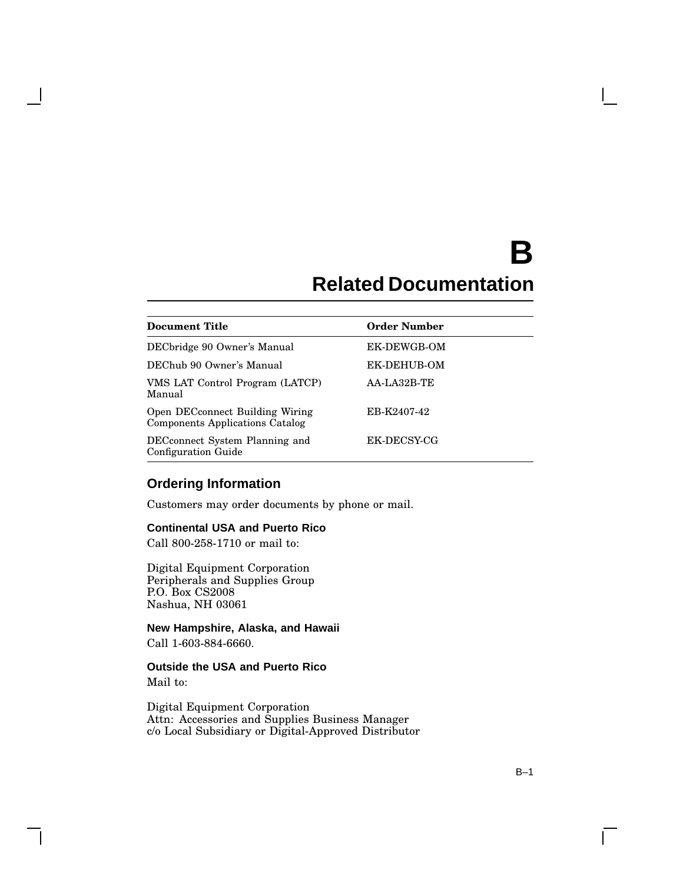# **B Related Documentation**

| <b>Document Title</b>                                                     | <b>Order Number</b> |
|---------------------------------------------------------------------------|---------------------|
| DECbridge 90 Owner's Manual                                               | EK-DEWGB-OM         |
| DEChub 90 Owner's Manual                                                  | <b>EK-DEHUB-OM</b>  |
| VMS LAT Control Program (LATCP)<br>Manual                                 | AA-LA32B-TE         |
| Open DECconnect Building Wiring<br><b>Components Applications Catalog</b> | EB-K2407-42         |
| DECconnect System Planning and<br><b>Configuration Guide</b>              | EK-DECSY-CG         |

## **Ordering Information**

Customers may order documents by phone or mail.

#### **Continental USA and Puerto Rico**

Call 800-258-1710 or mail to:

Digital Equipment Corporation Peripherals and Supplies Group P.O. Box CS2008 Nashua, NH 03061

**New Hampshire, Alaska, and Hawaii** Call 1-603-884-6660.

### **Outside the USA and Puerto Rico**

Mail to:

Digital Equipment Corporation Attn: Accessories and Supplies Business Manager c/o Local Subsidiary or Digital-Approved Distributor

 $\mathbf{I}$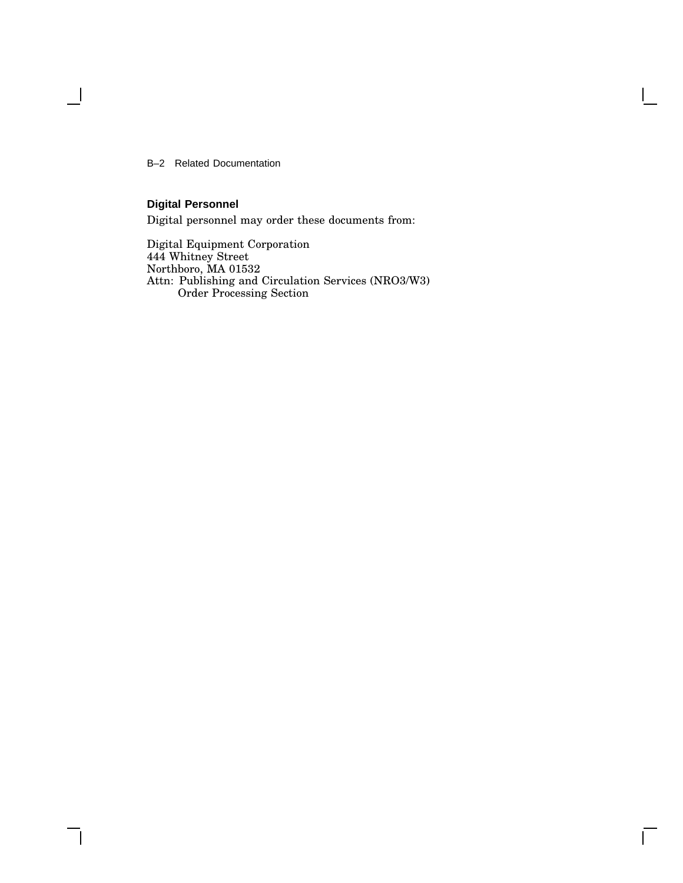B–2 Related Documentation

## **Digital Personnel**

 $\overline{\phantom{a}}$ 

Digital personnel may order these documents from:

Digital Equipment Corporation 444 Whitney Street Northboro, MA 01532 Attn: Publishing and Circulation Services (NRO3/W3) Order Processing Section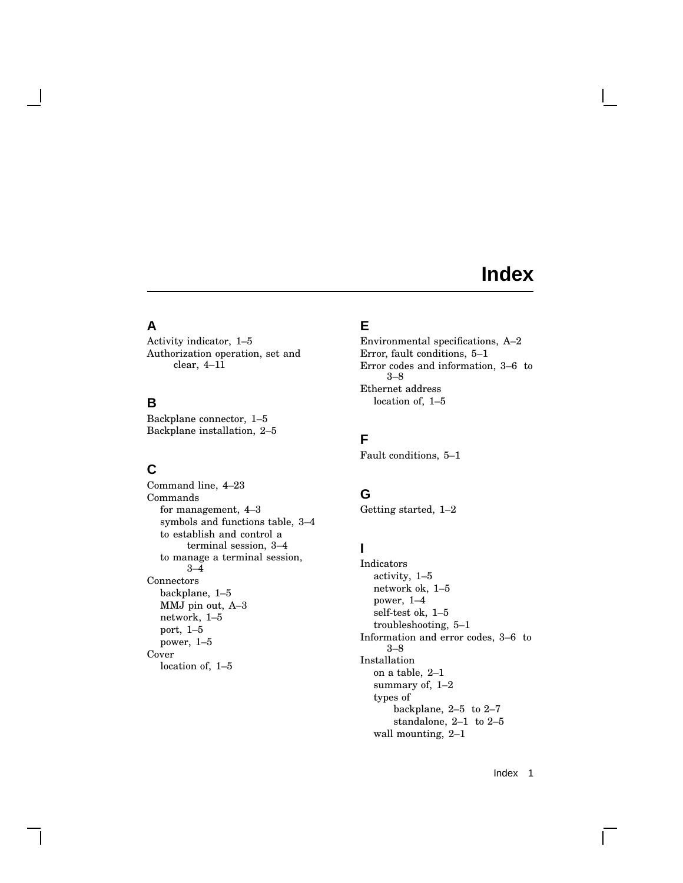## **Index**

## **A**

Activity indicator, 1–5 Authorization operation, set and clear, 4–11

## **B**

Backplane connector, 1–5 Backplane installation, 2–5

## **C**

Command line, 4–23 Commands for management, 4–3 symbols and functions table, 3–4 to establish and control a terminal session, 3–4 to manage a terminal session, 3–4 Connectors backplane, 1–5 MMJ pin out, A–3 network, 1–5 port, 1–5 power, 1–5 Cover location of, 1–5

## **E**

Environmental specifications, A–2 Error, fault conditions, 5–1 Error codes and information, 3–6 to 3–8 Ethernet address location of, 1–5

## **F**

Fault conditions, 5–1

## **G**

Getting started, 1–2

## **I**

Indicators activity, 1–5 network ok, 1–5 power, 1–4 self-test ok, 1–5 troubleshooting, 5–1 Information and error codes, 3–6 to 3–8 Installation on a table, 2–1 summary of, 1–2 types of backplane, 2–5 to 2–7 standalone, 2–1 to 2–5 wall mounting, 2–1

Index 1

L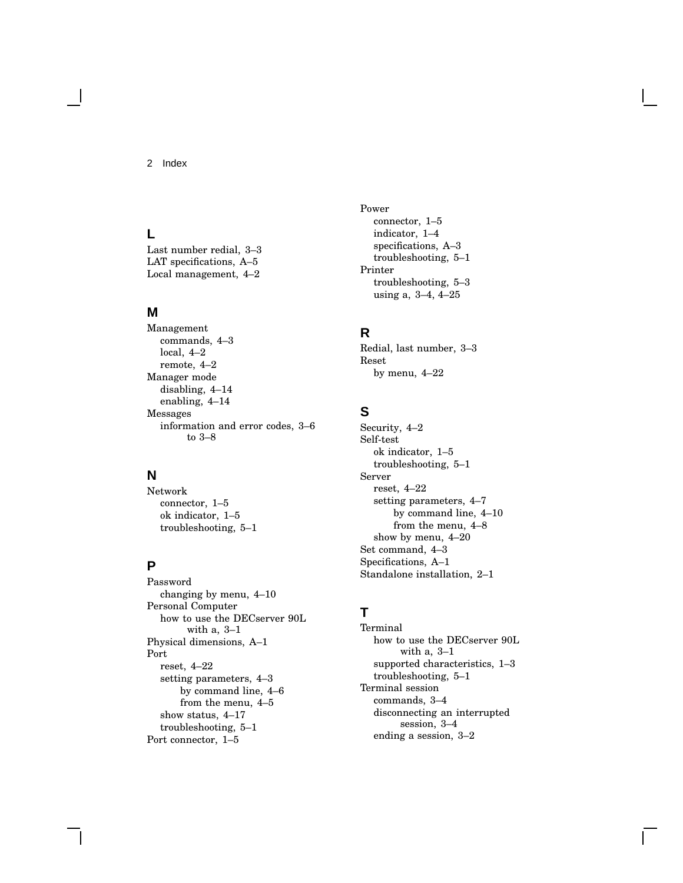2 Index

## **L**

Last number redial, 3–3 LAT specifications, A–5 Local management, 4–2

#### **M**

Management commands, 4–3 local, 4–2 remote, 4–2 Manager mode disabling, 4–14 enabling, 4–14 Messages information and error codes, 3–6 to 3–8

#### **N**

Network connector, 1–5 ok indicator, 1–5 troubleshooting, 5–1

## **P**

Password changing by menu, 4–10 Personal Computer how to use the DECserver 90L with a, 3–1 Physical dimensions, A–1 Port reset, 4–22 setting parameters, 4–3 by command line, 4–6 from the menu, 4–5 show status, 4–17 troubleshooting, 5–1 Port connector, 1–5

Power connector, 1–5 indicator, 1–4 specifications, A–3 troubleshooting, 5–1 Printer troubleshooting, 5–3 using a, 3–4, 4–25

## **R**

Redial, last number, 3–3 Reset by menu, 4–22

## **S**

Security, 4–2 Self-test ok indicator, 1–5 troubleshooting, 5–1 Server reset, 4–22 setting parameters, 4–7 by command line, 4–10 from the menu, 4–8 show by menu, 4–20 Set command, 4–3 Specifications, A–1 Standalone installation, 2–1

## **T**

Terminal how to use the DECserver 90L with a, 3–1 supported characteristics, 1–3 troubleshooting, 5–1 Terminal session commands, 3–4 disconnecting an interrupted session, 3–4 ending a session, 3–2